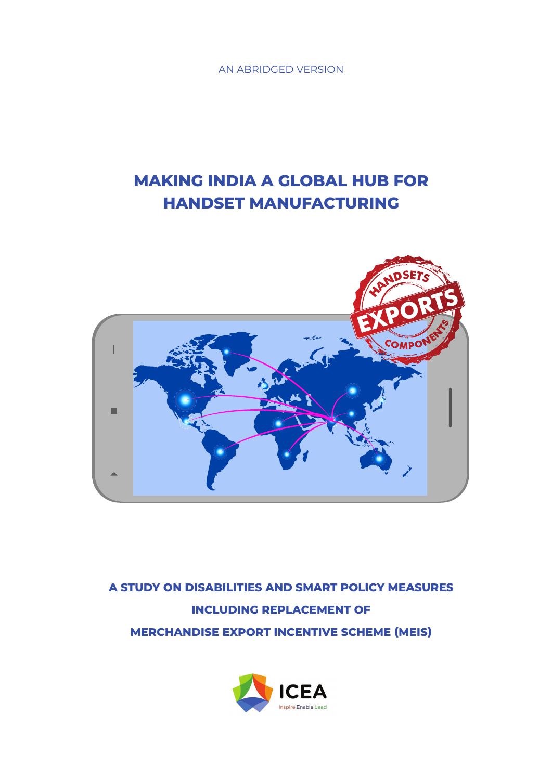AN ABRIDGED VERSION

# **MAKING INDIA A GLOBAL HUB FOR HANDSET MANUFACTURING**



**A STUDY ON DISABILITIES AND SMART POLICY MEASURES INCLUDING REPLACEMENT OF MERCHANDISE EXPORT INCENTIVE SCHEME (MEIS)**

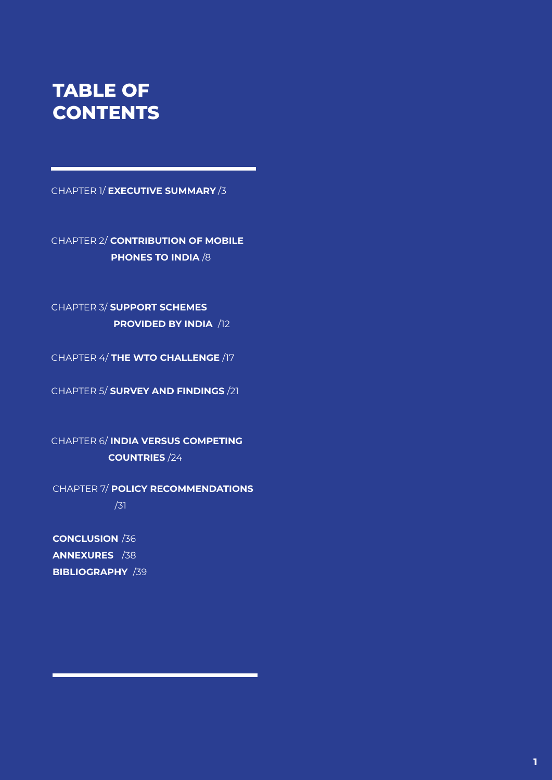# **TABLE OF CONTENTS**

CHAPTER 1/ **EXECUTIVE SUMMARY** /3

CHAPTER 2/ **CONTRIBUTION OF MOBILE PHONES TO INDIA** /8

CHAPTER 3/ **SUPPORT SCHEMES PROVIDED BY INDIA** /12

CHAPTER 4/ **THE WTO CHALLENGE** /17

CHAPTER 5/ **SURVEY AND FINDINGS** /21

CHAPTER 6/ **INDIA VERSUS COMPETING COUNTRIES** /24

CHAPTER 7/ **POLICY RECOMMENDATIONS** /31

**CONCLUSION** /36 **ANNEXURES** /38 **BIBLIOGRAPHY** /39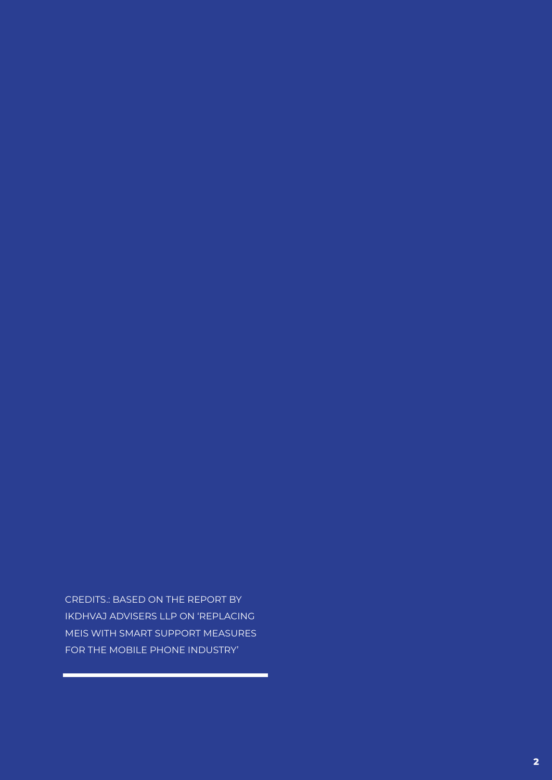CREDITS.: BASED ON THE REPORT BY IKDHVAJ ADVISERS LLP ON 'REPLACING MEIS WITH SMART SUPPORT MEASURES FOR THE MOBILE PHONE INDUSTRY'

۰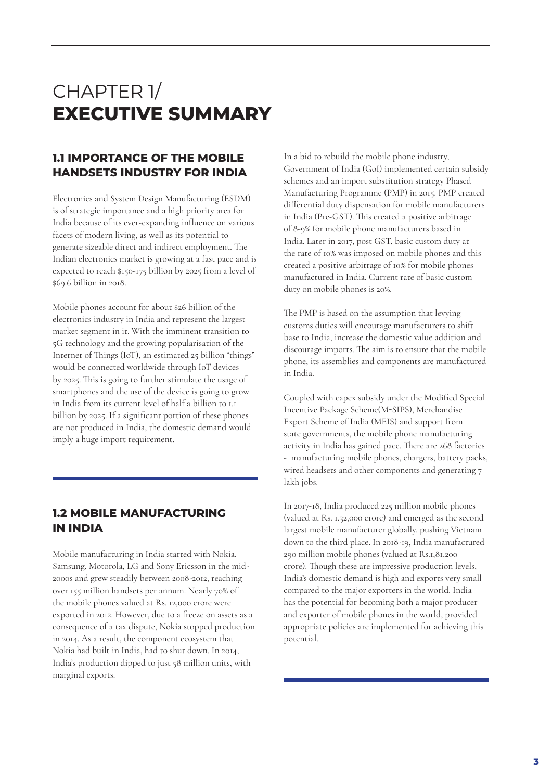# CHAPTER 1/ **EXECUTIVE SUMMARY**

# **1.1 IMPORTANCE OF THE MOBILE HANDSETS INDUSTRY FOR INDIA**

Electronics and System Design Manufacturing (ESDM) is of strategic importance and a high priority area for India because of its ever-expanding influence on various facets of modern living, as well as its potential to generate sizeable direct and indirect employment. The Indian electronics market is growing at a fast pace and is expected to reach \$150-175 billion by 2025 from a level of \$69.6 billion in 2018.

Mobile phones account for about \$26 billion of the electronics industry in India and represent the largest market segment in it. With the imminent transition to 5G technology and the growing popularisation of the Internet of Things (IoT), an estimated 25 billion "things" would be connected worldwide through IoT devices by 2025. This is going to further stimulate the usage of smartphones and the use of the device is going to grow in India from its current level of half a billion to 1.1 billion by 2025. If a significant portion of these phones are not produced in India, the domestic demand would imply a huge import requirement.

# **1.2 MOBILE MANUFACTURING IN INDIA**

Mobile manufacturing in India started with Nokia, Samsung, Motorola, LG and Sony Ericsson in the mid-2000s and grew steadily between 2008-2012, reaching over 155 million handsets per annum. Nearly 70% of the mobile phones valued at Rs. 12,000 crore were exported in 2012. However, due to a freeze on assets as a consequence of a tax dispute, Nokia stopped production in 2014. As a result, the component ecosystem that Nokia had built in India, had to shut down. In 2014, India's production dipped to just 58 million units, with marginal exports.

In a bid to rebuild the mobile phone industry, Government of India (GoI) implemented certain subsidy schemes and an import substitution strategy Phased Manufacturing Programme (PMP) in 2015. PMP created differential duty dispensation for mobile manufacturers in India (Pre-GST). This created a positive arbitrage of 8-9% for mobile phone manufacturers based in India. Later in 2017, post GST, basic custom duty at the rate of 10% was imposed on mobile phones and this created a positive arbitrage of 10% for mobile phones manufactured in India. Current rate of basic custom duty on mobile phones is 20%.

The PMP is based on the assumption that levying customs duties will encourage manufacturers to shift base to India, increase the domestic value addition and discourage imports. The aim is to ensure that the mobile phone, its assemblies and components are manufactured in India.

Coupled with capex subsidy under the Modified Special Incentive Package Scheme(M-SIPS), Merchandise Export Scheme of India (MEIS) and support from state governments, the mobile phone manufacturing activity in India has gained pace. There are 268 factories - manufacturing mobile phones, chargers, battery packs, wired headsets and other components and generating 7 lakh jobs.

In 2017-18, India produced 225 million mobile phones (valued at Rs. 1,32,000 crore) and emerged as the second largest mobile manufacturer globally, pushing Vietnam down to the third place. In 2018-19, India manufactured 290 million mobile phones (valued at Rs.1,81,200 crore). Though these are impressive production levels, India's domestic demand is high and exports very small compared to the major exporters in the world. India has the potential for becoming both a major producer and exporter of mobile phones in the world, provided appropriate policies are implemented for achieving this potential.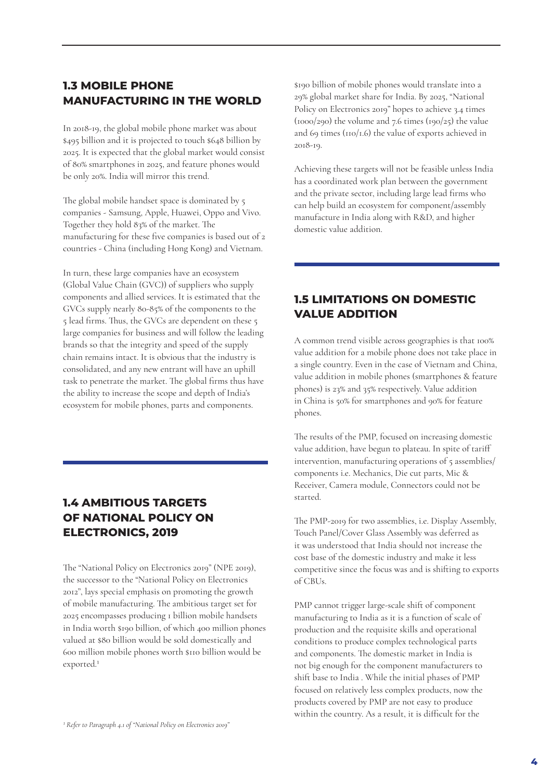# **1.3 MOBILE PHONE MANUFACTURING IN THE WORLD**

In 2018-19, the global mobile phone market was about \$495 billion and it is projected to touch \$648 billion by 2025. It is expected that the global market would consist of 80% smartphones in 2025, and feature phones would be only 20%. India will mirror this trend.

The global mobile handset space is dominated by 5 companies - Samsung, Apple, Huawei, Oppo and Vivo. Together they hold 83% of the market. The manufacturing for these five companies is based out of 2 countries - China (including Hong Kong) and Vietnam.

In turn, these large companies have an ecosystem (Global Value Chain (GVC)) of suppliers who supply components and allied services. It is estimated that the GVCs supply nearly 80-85% of the components to the 5 lead firms. Thus, the GVCs are dependent on these 5 large companies for business and will follow the leading brands so that the integrity and speed of the supply chain remains intact. It is obvious that the industry is consolidated, and any new entrant will have an uphill task to penetrate the market. The global firms thus have the ability to increase the scope and depth of India's ecosystem for mobile phones, parts and components.

# **1.4 AMBITIOUS TARGETS OF NATIONAL POLICY ON ELECTRONICS, 2019**

The "National Policy on Electronics 2019" (NPE 2019), the successor to the "National Policy on Electronics 2012", lays special emphasis on promoting the growth of mobile manufacturing. The ambitious target set for 2025 encompasses producing 1 billion mobile handsets in India worth \$190 billion, of which 400 million phones valued at \$80 billion would be sold domestically and 600 million mobile phones worth \$110 billion would be exported.1

\$190 billion of mobile phones would translate into a 29% global market share for India. By 2025, "National Policy on Electronics 2019" hopes to achieve 3.4 times  $(1000/290)$  the volume and 7.6 times  $(190/25)$  the value and 69 times (110/1.6) the value of exports achieved in 2018-19.

Achieving these targets will not be feasible unless India has a coordinated work plan between the government and the private sector, including large lead firms who can help build an ecosystem for component/assembly manufacture in India along with R&D, and higher domestic value addition.

# **1.5 LIMITATIONS ON DOMESTIC VALUE ADDITION**

A common trend visible across geographies is that 100% value addition for a mobile phone does not take place in a single country. Even in the case of Vietnam and China, value addition in mobile phones (smartphones & feature phones) is 23% and 35% respectively. Value addition in China is 50% for smartphones and 90% for feature phones.

The results of the PMP, focused on increasing domestic value addition, have begun to plateau. In spite of tariff intervention, manufacturing operations of 5 assemblies/ components i.e. Mechanics, Die cut parts, Mic & Receiver, Camera module, Connectors could not be started.

The PMP-2019 for two assemblies, i.e. Display Assembly, Touch Panel/Cover Glass Assembly was deferred as it was understood that India should not increase the cost base of the domestic industry and make it less competitive since the focus was and is shifting to exports of CBUs.

PMP cannot trigger large-scale shift of component manufacturing to India as it is a function of scale of production and the requisite skills and operational conditions to produce complex technological parts and components. The domestic market in India is not big enough for the component manufacturers to shift base to India . While the initial phases of PMP focused on relatively less complex products, now the products covered by PMP are not easy to produce within the country. As a result, it is difficult for the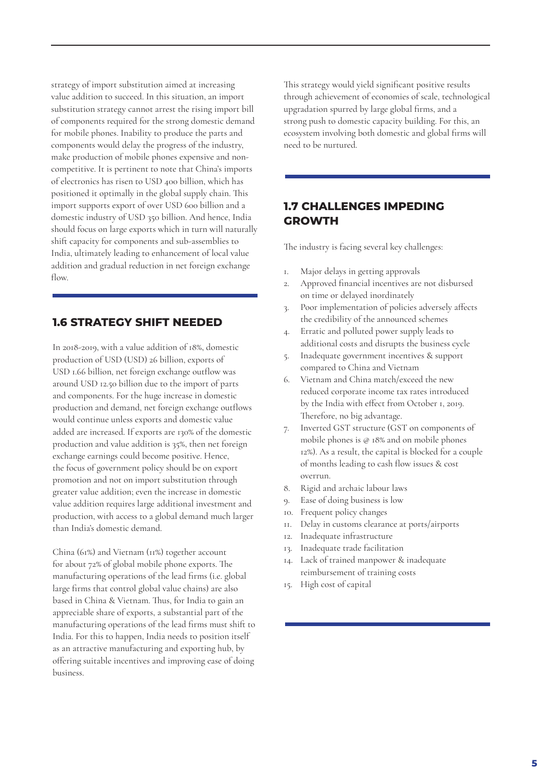strategy of import substitution aimed at increasing value addition to succeed. In this situation, an import substitution strategy cannot arrest the rising import bill of components required for the strong domestic demand for mobile phones. Inability to produce the parts and components would delay the progress of the industry, make production of mobile phones expensive and noncompetitive. It is pertinent to note that China's imports of electronics has risen to USD 400 billion, which has positioned it optimally in the global supply chain. This import supports export of over USD 600 billion and a domestic industry of USD 350 billion. And hence, India should focus on large exports which in turn will naturally shift capacity for components and sub-assemblies to India, ultimately leading to enhancement of local value addition and gradual reduction in net foreign exchange flow.

### **1.6 STRATEGY SHIFT NEEDED**

In 2018-2019, with a value addition of 18%, domestic production of USD (USD) 26 billion, exports of USD 1.66 billion, net foreign exchange outflow was around USD 12.50 billion due to the import of parts and components. For the huge increase in domestic production and demand, net foreign exchange outflows would continue unless exports and domestic value added are increased. If exports are 130% of the domestic production and value addition is 35%, then net foreign exchange earnings could become positive. Hence, the focus of government policy should be on export promotion and not on import substitution through greater value addition; even the increase in domestic value addition requires large additional investment and production, with access to a global demand much larger than India's domestic demand.

China (61%) and Vietnam (11%) together account for about 72% of global mobile phone exports. The manufacturing operations of the lead firms (i.e. global large firms that control global value chains) are also based in China & Vietnam. Thus, for India to gain an appreciable share of exports, a substantial part of the manufacturing operations of the lead firms must shift to India. For this to happen, India needs to position itself as an attractive manufacturing and exporting hub, by offering suitable incentives and improving ease of doing business.

This strategy would yield significant positive results through achievement of economies of scale, technological upgradation spurred by large global firms, and a strong push to domestic capacity building. For this, an ecosystem involving both domestic and global firms will need to be nurtured.

### **1.7 CHALLENGES IMPEDING GROWTH**

The industry is facing several key challenges:

- 1. Major delays in getting approvals
- 2. Approved financial incentives are not disbursed on time or delayed inordinately
- 3. Poor implementation of policies adversely affects the credibility of the announced schemes
- 4. Erratic and polluted power supply leads to additional costs and disrupts the business cycle
- 5. Inadequate government incentives & support compared to China and Vietnam
- 6. Vietnam and China match/exceed the new reduced corporate income tax rates introduced by the India with effect from October 1, 2019. Therefore, no big advantage.
- 7. Inverted GST structure (GST on components of mobile phones is @ 18% and on mobile phones 12%). As a result, the capital is blocked for a couple of months leading to cash flow issues & cost overrun.
- 8. Rigid and archaic labour laws
- 9. Ease of doing business is low
- 10. Frequent policy changes
- 11. Delay in customs clearance at ports/airports
- 12. Inadequate infrastructure
- 13. Inadequate trade facilitation
- 14. Lack of trained manpower & inadequate reimbursement of training costs
- 15. High cost of capital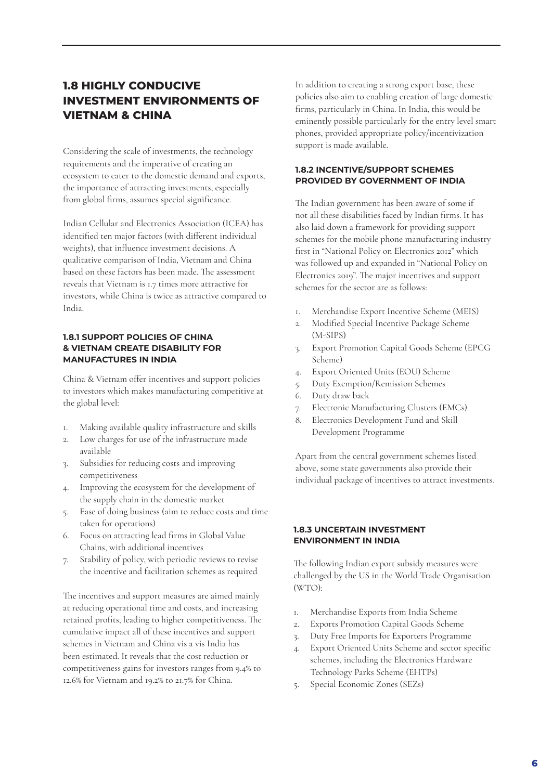# **1.8 HIGHLY CONDUCIVE INVESTMENT ENVIRONMENTS OF VIETNAM & CHINA**

Considering the scale of investments, the technology requirements and the imperative of creating an ecosystem to cater to the domestic demand and exports, the importance of attracting investments, especially from global firms, assumes special significance.

Indian Cellular and Electronics Association (ICEA) has identified ten major factors (with different individual weights), that influence investment decisions. A qualitative comparison of India, Vietnam and China based on these factors has been made. The assessment reveals that Vietnam is 1.7 times more attractive for investors, while China is twice as attractive compared to India.

#### **1.8.1 SUPPORT POLICIES OF CHINA & VIETNAM CREATE DISABILITY FOR MANUFACTURES IN INDIA**

China & Vietnam offer incentives and support policies to investors which makes manufacturing competitive at the global level:

- 1. Making available quality infrastructure and skills
- 2. Low charges for use of the infrastructure made available
- 3. Subsidies for reducing costs and improving competitiveness
- 4. Improving the ecosystem for the development of the supply chain in the domestic market
- 5. Ease of doing business (aim to reduce costs and time taken for operations)
- 6. Focus on attracting lead firms in Global Value Chains, with additional incentives
- 7. Stability of policy, with periodic reviews to revise the incentive and facilitation schemes as required

The incentives and support measures are aimed mainly at reducing operational time and costs, and increasing retained profits, leading to higher competitiveness. The cumulative impact all of these incentives and support schemes in Vietnam and China vis a vis India has been estimated. It reveals that the cost reduction or competitiveness gains for investors ranges from 9.4% to 12.6% for Vietnam and 19.2% to 21.7% for China.

In addition to creating a strong export base, these policies also aim to enabling creation of large domestic firms, particularly in China. In India, this would be eminently possible particularly for the entry level smart phones, provided appropriate policy/incentivization support is made available.

#### **1.8.2 INCENTIVE/SUPPORT SCHEMES PROVIDED BY GOVERNMENT OF INDIA**

The Indian government has been aware of some if not all these disabilities faced by Indian firms. It has also laid down a framework for providing support schemes for the mobile phone manufacturing industry first in "National Policy on Electronics 2012" which was followed up and expanded in "National Policy on Electronics 2019". The major incentives and support schemes for the sector are as follows:

- 1. Merchandise Export Incentive Scheme (MEIS)
- 2. Modified Special Incentive Package Scheme (M-SIPS)
- 3. Export Promotion Capital Goods Scheme (EPCG Scheme)
- 4. Export Oriented Units (EOU) Scheme
- 5. Duty Exemption/Remission Schemes
- 6. Duty draw back
- 7. Electronic Manufacturing Clusters (EMCs)
- 8. Electronics Development Fund and Skill Development Programme

Apart from the central government schemes listed above, some state governments also provide their individual package of incentives to attract investments.

#### **1.8.3 UNCERTAIN INVESTMENT ENVIRONMENT IN INDIA**

The following Indian export subsidy measures were challenged by the US in the World Trade Organisation (WTO):

- 1. Merchandise Exports from India Scheme
- 2. Exports Promotion Capital Goods Scheme
- 3. Duty Free Imports for Exporters Programme
- 4. Export Oriented Units Scheme and sector specific schemes, including the Electronics Hardware Technology Parks Scheme (EHTPs)
- 5. Special Economic Zones (SEZs)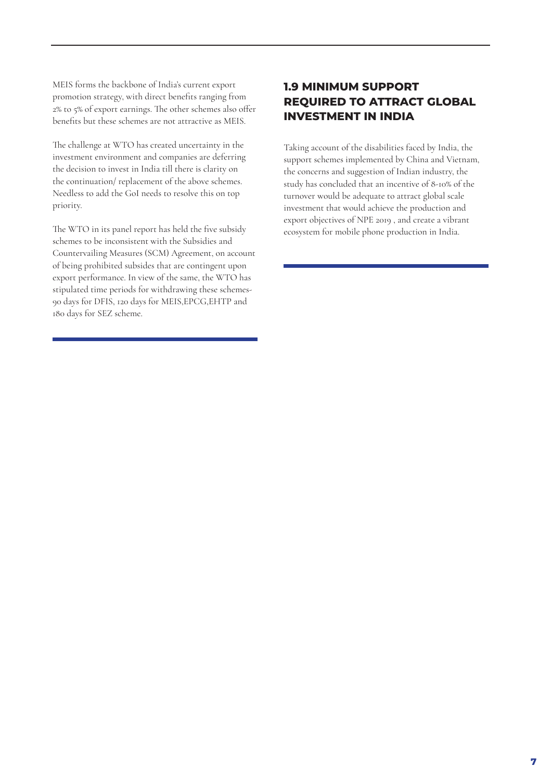MEIS forms the backbone of India's current export promotion strategy, with direct benefits ranging from 2% to 5% of export earnings. The other schemes also offer benefits but these schemes are not attractive as MEIS.

The challenge at WTO has created uncertainty in the investment environment and companies are deferring the decision to invest in India till there is clarity on the continuation/ replacement of the above schemes. Needless to add the GoI needs to resolve this on top priority.

The WTO in its panel report has held the five subsidy schemes to be inconsistent with the Subsidies and Countervailing Measures (SCM) Agreement, on account of being prohibited subsides that are contingent upon export performance. In view of the same, the WTO has stipulated time periods for withdrawing these schemes-90 days for DFIS, 120 days for MEIS,EPCG,EHTP and 180 days for SEZ scheme.

# **1.9 MINIMUM SUPPORT REQUIRED TO ATTRACT GLOBAL INVESTMENT IN INDIA**

Taking account of the disabilities faced by India, the support schemes implemented by China and Vietnam, the concerns and suggestion of Indian industry, the study has concluded that an incentive of 8-10% of the turnover would be adequate to attract global scale investment that would achieve the production and export objectives of NPE 2019 , and create a vibrant ecosystem for mobile phone production in India.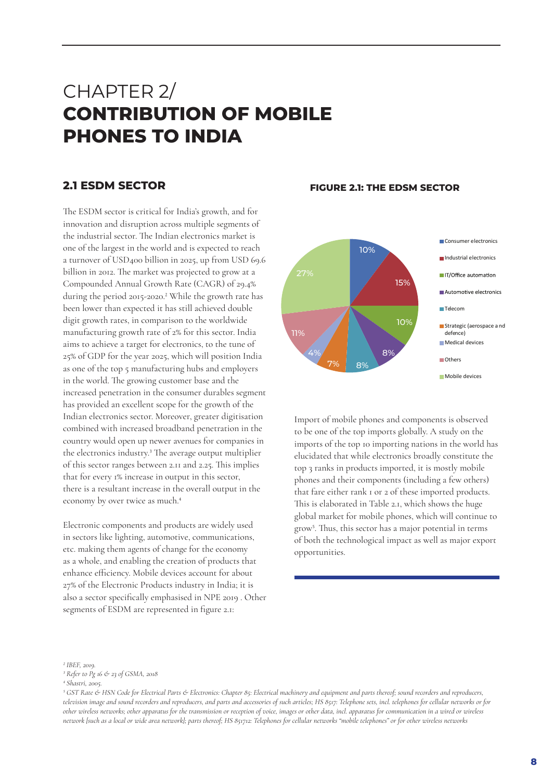# CHAPTER 2/ **CONTRIBUTION OF MOBILE PHONES TO INDIA**

The ESDM sector is critical for India's growth, and for innovation and disruption across multiple segments of the industrial sector. The Indian electronics market is one of the largest in the world and is expected to reach a turnover of USD400 billion in 2025, up from USD 69.6 billion in 2012. The market was projected to grow at a Compounded Annual Growth Rate (CAGR) of 29.4% during the period 2015-2020.<sup>2</sup> While the growth rate has been lower than expected it has still achieved double digit growth rates, in comparison to the worldwide manufacturing growth rate of 2% for this sector. India aims to achieve a target for electronics, to the tune of 25% of GDP for the year 2025, which will position India as one of the top 5 manufacturing hubs and employers in the world. The growing customer base and the increased penetration in the consumer durables segment has provided an excellent scope for the growth of the Indian electronics sector. Moreover, greater digitisation combined with increased broadband penetration in the country would open up newer avenues for companies in the electronics industry.3 The average output multiplier of this sector ranges between 2.11 and 2.25. This implies that for every 1% increase in output in this sector, there is a resultant increase in the overall output in the economy by over twice as much.4

Electronic components and products are widely used in sectors like lighting, automotive, communications, etc. making them agents of change for the economy as a whole, and enabling the creation of products that enhance efficiency. Mobile devices account for about 27% of the Electronic Products industry in India; it is also a sector specifically emphasised in NPE 2019 . Other segments of ESDM are represented in figure 2.1:

#### **2.1 ESDM SECTOR FIGURE 2.1: THE EDSM SECTOR**



Import of mobile phones and components is observed to be one of the top imports globally. A study on the imports of the top 10 importing nations in the world has elucidated that while electronics broadly constitute the top 3 ranks in products imported, it is mostly mobile phones and their components (including a few others) that fare either rank 1 or 2 of these imported products. This is elaborated in Table 2.1, which shows the huge global market for mobile phones, which will continue to grow5. Thus, this sector has a major potential in terms of both the technological impact as well as major export opportunities.

*3 Refer to Pg 16 & 23 of GSMA, 2018*

*<sup>2</sup> IBEF, 2019.*

*<sup>4</sup> Shastri, 2005.*

*<sup>5</sup> GST Rate & HSN Code for Electrical Parts & Electronics: Chapter 85: Electrical machinery and equipment and parts thereof; sound recorders and reproducers, television image and sound recorders and reproducers, and parts and accessories of such articles; HS 8517: Telephone sets, incl. telephones for cellular networks or for other wireless networks; other apparatus for the transmission or reception of voice, images or other data, incl. apparatus for communication in a wired or wireless network [such as a local or wide area network]; parts thereof; HS 851712: Telephones for cellular networks "mobile telephones" or for other wireless networks*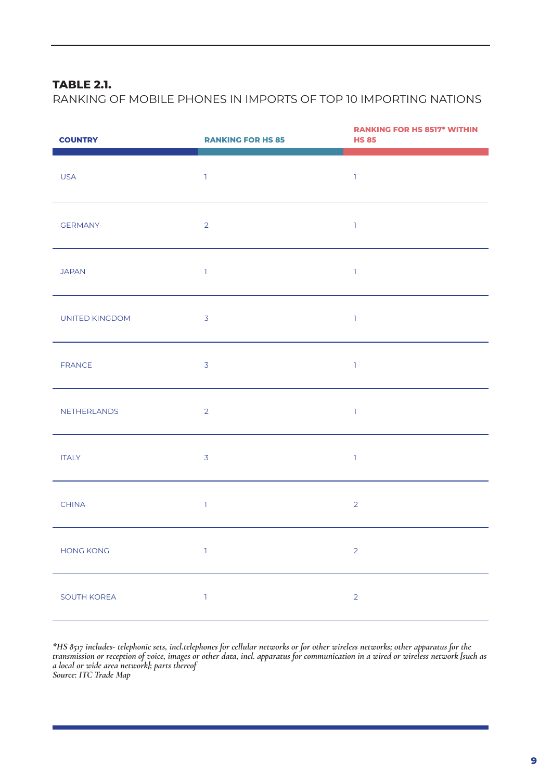# **TABLE 2.1.**

RANKING OF MOBILE PHONES IN IMPORTS OF TOP 10 IMPORTING NATIONS

| <b>COUNTRY</b>   | <b>RANKING FOR HS 85</b> | <b>RANKING FOR HS 8517* WITHIN</b><br><b>HS 85</b> |
|------------------|--------------------------|----------------------------------------------------|
| <b>USA</b>       | $\mathbbm{1}$            | $\mathbb{I}$                                       |
| <b>GERMANY</b>   | $\overline{2}$           | $\mathbbm{1}$                                      |
| <b>JAPAN</b>     | $\mathbb{R}$             | $\mathbbm{1}$                                      |
| UNITED KINGDOM   | $\overline{3}$           | $\mathbf{1}$                                       |
| FRANCE           | $\overline{3}$           | $\mathbbm{1}$                                      |
| NETHERLANDS      | $\overline{2}$           | $\mathbbm{1}$                                      |
| <b>ITALY</b>     | $\overline{3}$           | $\mathbb{I}$                                       |
| <b>CHINA</b>     | $\mathbb{R}$             | $\overline{2}$                                     |
| <b>HONG KONG</b> | $\mathbb T$              | $\overline{2}$                                     |
| SOUTH KOREA      | $\mathbbm{1}$            | $\overline{2}$                                     |

*\*HS 8517 includes- telephonic sets, incl.telephones for cellular networks or for other wireless networks; other apparatus for the transmission or reception of voice, images or other data, incl. apparatus for communication in a wired or wireless network [such as a local or wide area network]; parts thereof Source: ITC Trade Map*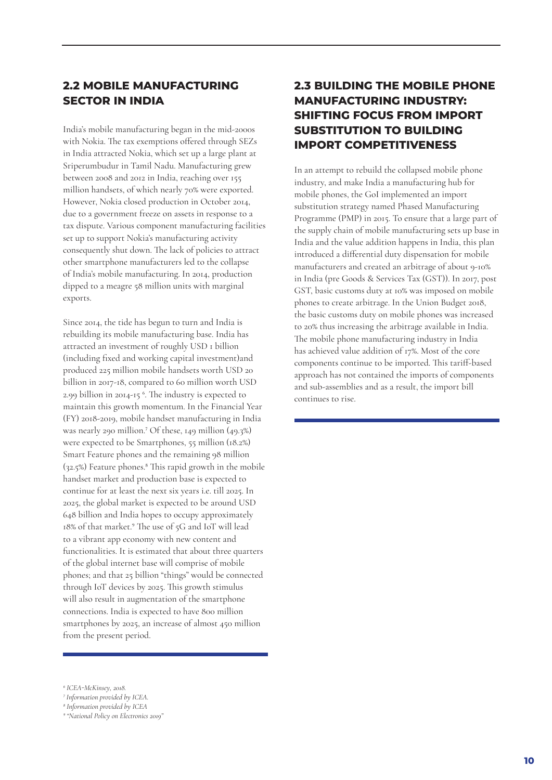# **2.2 MOBILE MANUFACTURING SECTOR IN INDIA**

India's mobile manufacturing began in the mid-2000s with Nokia. The tax exemptions offered through SEZs in India attracted Nokia, which set up a large plant at Sriperumbudur in Tamil Nadu. Manufacturing grew between 2008 and 2012 in India, reaching over 155 million handsets, of which nearly 70% were exported. However, Nokia closed production in October 2014, due to a government freeze on assets in response to a tax dispute. Various component manufacturing facilities set up to support Nokia's manufacturing activity consequently shut down. The lack of policies to attract other smartphone manufacturers led to the collapse of India's mobile manufacturing. In 2014, production dipped to a meagre 58 million units with marginal exports.

Since 2014, the tide has begun to turn and India is rebuilding its mobile manufacturing base. India has attracted an investment of roughly USD 1 billion (including fixed and working capital investment)and produced 225 million mobile handsets worth USD 20 billion in 2017-18, compared to 60 million worth USD 2.99 billion in 2014-15 6. The industry is expected to maintain this growth momentum. In the Financial Year (FY) 2018-2019, mobile handset manufacturing in India was nearly 290 million.7 Of these, 149 million (49.3%) were expected to be Smartphones, 55 million (18.2%) Smart Feature phones and the remaining 98 million (32.5%) Feature phones.8 This rapid growth in the mobile handset market and production base is expected to continue for at least the next six years i.e. till 2025. In 2025, the global market is expected to be around USD 648 billion and India hopes to occupy approximately 18% of that market.9 The use of 5G and IoT will lead to a vibrant app economy with new content and functionalities. It is estimated that about three quarters of the global internet base will comprise of mobile phones; and that 25 billion "things" would be connected through IoT devices by 2025. This growth stimulus will also result in augmentation of the smartphone connections. India is expected to have 800 million smartphones by 2025, an increase of almost 450 million from the present period.

# **2.3 BUILDING THE MOBILE PHONE MANUFACTURING INDUSTRY: SHIFTING FOCUS FROM IMPORT SUBSTITUTION TO BUILDING IMPORT COMPETITIVENESS**

In an attempt to rebuild the collapsed mobile phone industry, and make India a manufacturing hub for mobile phones, the GoI implemented an import substitution strategy named Phased Manufacturing Programme (PMP) in 2015. To ensure that a large part of the supply chain of mobile manufacturing sets up base in India and the value addition happens in India, this plan introduced a differential duty dispensation for mobile manufacturers and created an arbitrage of about 9-10% in India (pre Goods & Services Tax (GST)). In 2017, post GST, basic customs duty at 10% was imposed on mobile phones to create arbitrage. In the Union Budget 2018, the basic customs duty on mobile phones was increased to 20% thus increasing the arbitrage available in India. The mobile phone manufacturing industry in India has achieved value addition of 17%. Most of the core components continue to be imported. This tariff-based approach has not contained the imports of components and sub-assemblies and as a result, the import bill continues to rise.

*<sup>6</sup> ICEA-McKinsey, 2018.*

*<sup>7</sup> Information provided by ICEA.*

*<sup>8</sup> Information provided by ICEA*

*<sup>9</sup> "National Policy on Electronics 2019"*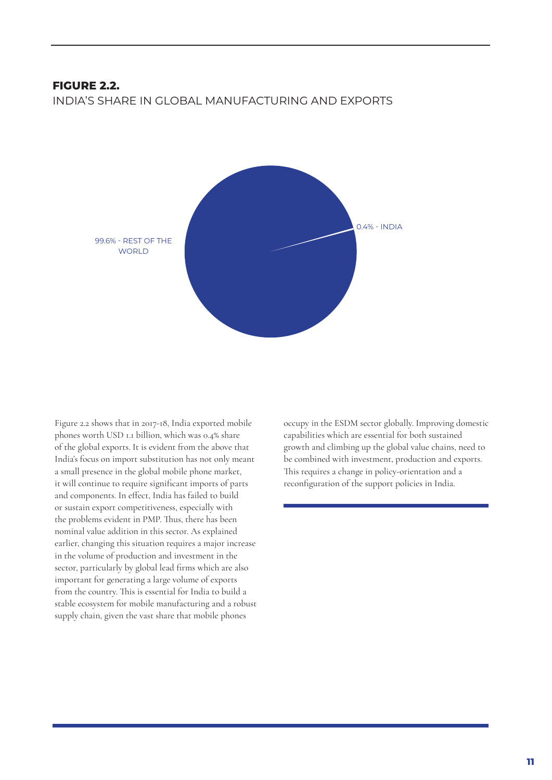### **FIGURE 2.2.**

INDIA'S SHARE IN GLOBAL MANUFACTURING AND EXPORTS



Figure 2.2 shows that in 2017-18, India exported mobile phones worth USD 1.1 billion, which was 0.4% share of the global exports. It is evident from the above that India's focus on import substitution has not only meant a small presence in the global mobile phone market, it will continue to require significant imports of parts and components. In effect, India has failed to build or sustain export competitiveness, especially with the problems evident in PMP. Thus, there has been nominal value addition in this sector. As explained earlier, changing this situation requires a major increase in the volume of production and investment in the sector, particularly by global lead firms which are also important for generating a large volume of exports from the country. This is essential for India to build a stable ecosystem for mobile manufacturing and a robust supply chain, given the vast share that mobile phones

occupy in the ESDM sector globally. Improving domestic capabilities which are essential for both sustained growth and climbing up the global value chains, need to be combined with investment, production and exports. This requires a change in policy-orientation and a reconfiguration of the support policies in India.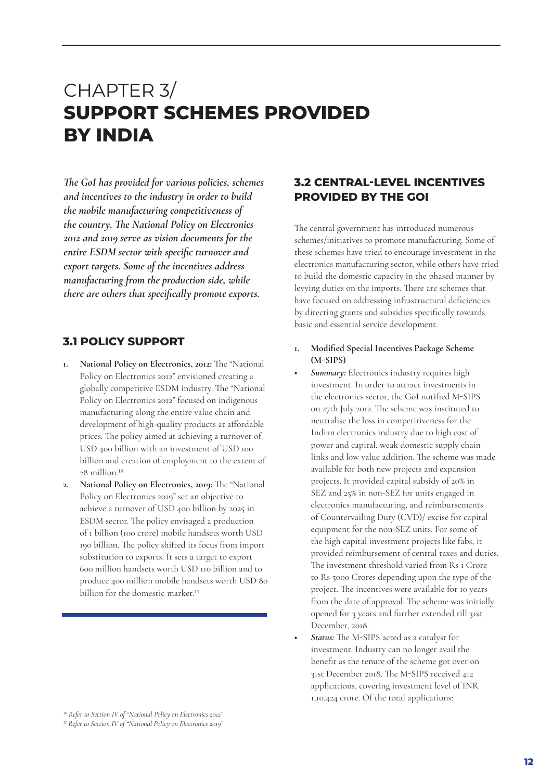# CHAPTER 3/ **SUPPORT SCHEMES PROVIDED BY INDIA**

*The GoI has provided for various policies, schemes and incentives to the industry in order to build the mobile manufacturing competitiveness of the country. The National Policy on Electronics 2012 and 2019 serve as vision documents for the entire ESDM sector with specific turnover and export targets. Some of the incentives address manufacturing from the production side, while there are others that specifically promote exports.*

### **3.1 POLICY SUPPORT**

- **1. National Policy on Electronics, 2012:** The "National Policy on Electronics 2012" envisioned creating a globally competitive ESDM industry. The "National Policy on Electronics 2012" focused on indigenous manufacturing along the entire value chain and development of high-quality products at affordable prices. The policy aimed at achieving a turnover of USD 400 billion with an investment of USD 100 billion and creation of employment to the extent of 28 million.10
- **2. National Policy on Electronics, 2019:** The "National Policy on Electronics 2019" set an objective to achieve a turnover of USD 400 billion by 2025 in ESDM sector. The policy envisaged a production of 1 billion (100 crore) mobile handsets worth USD 190 billion. The policy shifted its focus from import substitution to exports. It sets a target to export 600 million handsets worth USD 110 billion and to produce 400 million mobile handsets worth USD 80 billion for the domestic market.<sup>11</sup>

### **3.2 CENTRAL-LEVEL INCENTIVES PROVIDED BY THE GOI**

The central government has introduced numerous schemes/initiatives to promote manufacturing. Some of these schemes have tried to encourage investment in the electronics manufacturing sector, while others have tried to build the domestic capacity in the phased manner by levying duties on the imports. There are schemes that have focused on addressing infrastructural deficiencies by directing grants and subsidies specifically towards basic and essential service development.

#### **1. Modified Special Incentives Package Scheme (M-SIPS)**

- *• Summary:* Electronics industry requires high investment. In order to attract investments in the electronics sector, the GoI notified M-SIPS on 27th July 2012. The scheme was instituted to neutralise the loss in competitiveness for the Indian electronics industry due to high cost of power and capital, weak domestic supply chain links and low value addition. The scheme was made available for both new projects and expansion projects. It provided capital subsidy of 20% in SEZ and 25% in non-SEZ for units engaged in electronics manufacturing, and reimbursements of Countervailing Duty (CVD)/ excise for capital equipment for the non-SEZ units. For some of the high capital investment projects like fabs, it provided reimbursement of central taxes and duties. The investment threshold varied from Rs 1 Crore to Rs 5000 Crores depending upon the type of the project. The incentives were available for 10 years from the date of approval. The scheme was initially opened for 3 years and further extended till 31st December, 2018.
- *• Status:* The M-SIPS acted as a catalyst for investment. Industry can no longer avail the benefit as the tenure of the scheme got over on 31st December 2018. The M-SIPS received 412 applications, covering investment level of INR 1,10,424 crore. Of the total applications:

*<sup>10</sup> Refer to Section IV of "National Policy on Electronics 2012" 11 Refer to Section IV of "National Policy on Electronics 2019"*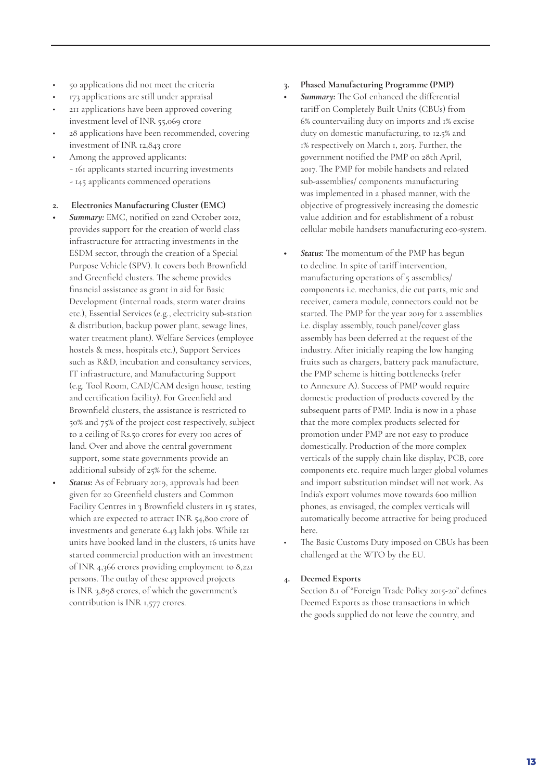- 50 applications did not meet the criteria
- 173 applications are still under appraisal
- 211 applications have been approved covering investment level of INR 55,069 crore
- 28 applications have been recommended, covering investment of INR 12,843 crore
- Among the approved applicants: - 161 applicants started incurring investments - 145 applicants commenced operations

#### **2. Electronics Manufacturing Cluster (EMC)**

- *• Summary:* EMC, notified on 22nd October 2012, provides support for the creation of world class infrastructure for attracting investments in the ESDM sector, through the creation of a Special Purpose Vehicle (SPV). It covers both Brownfield and Greenfield clusters. The scheme provides financial assistance as grant in aid for Basic Development (internal roads, storm water drains etc.), Essential Services (e.g., electricity sub-station & distribution, backup power plant, sewage lines, water treatment plant). Welfare Services (employee hostels & mess, hospitals etc.), Support Services such as R&D, incubation and consultancy services, IT infrastructure, and Manufacturing Support (e.g. Tool Room, CAD/CAM design house, testing and certification facility). For Greenfield and Brownfield clusters, the assistance is restricted to 50% and 75% of the project cost respectively, subject to a ceiling of Rs.50 crores for every 100 acres of land. Over and above the central government support, some state governments provide an additional subsidy of 25% for the scheme.
- *• Status:* As of February 2019, approvals had been given for 20 Greenfield clusters and Common Facility Centres in 3 Brownfield clusters in 15 states, which are expected to attract INR 54,800 crore of investments and generate 6.43 lakh jobs. While 121 units have booked land in the clusters, 16 units have started commercial production with an investment of INR 4,366 crores providing employment to 8,221 persons. The outlay of these approved projects is INR 3,898 crores, of which the government's contribution is INR 1,577 crores.

#### **3. Phased Manufacturing Programme (PMP)**

- *• Summary:* The GoI enhanced the differential tariff on Completely Built Units (CBUs) from 6% countervailing duty on imports and 1% excise duty on domestic manufacturing, to 12.5% and 1% respectively on March 1, 2015. Further, the government notified the PMP on 28th April, 2017. The PMP for mobile handsets and related sub-assemblies/ components manufacturing was implemented in a phased manner, with the objective of progressively increasing the domestic value addition and for establishment of a robust cellular mobile handsets manufacturing eco-system.
- *• Status:* The momentum of the PMP has begun to decline. In spite of tariff intervention, manufacturing operations of 5 assemblies/ components i.e. mechanics, die cut parts, mic and receiver, camera module, connectors could not be started. The PMP for the year 2019 for 2 assemblies i.e. display assembly, touch panel/cover glass assembly has been deferred at the request of the industry. After initially reaping the low hanging fruits such as chargers, battery pack manufacture, the PMP scheme is hitting bottlenecks (refer to Annexure A). Success of PMP would require domestic production of products covered by the subsequent parts of PMP. India is now in a phase that the more complex products selected for promotion under PMP are not easy to produce domestically. Production of the more complex verticals of the supply chain like display, PCB, core components etc. require much larger global volumes and import substitution mindset will not work. As India's export volumes move towards 600 million phones, as envisaged, the complex verticals will automatically become attractive for being produced here.
- The Basic Customs Duty imposed on CBUs has been challenged at the WTO by the EU.

#### **4. Deemed Exports**

Section 8.1 of "Foreign Trade Policy 2015-20" defines Deemed Exports as those transactions in which the goods supplied do not leave the country, and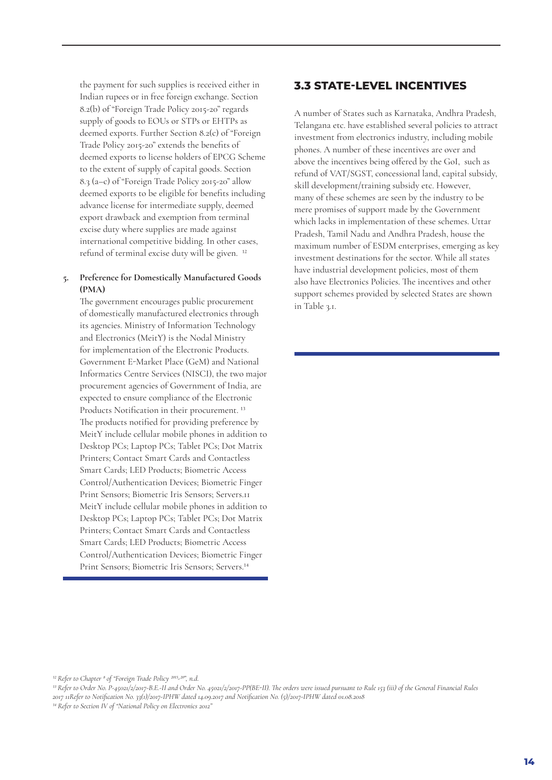the payment for such supplies is received either in Indian rupees or in free foreign exchange. Section 8.2(b) of "Foreign Trade Policy 2015-20" regards supply of goods to EOUs or STPs or EHTPs as deemed exports. Further Section 8.2(c) of "Foreign Trade Policy 2015-20" extends the benefits of deemed exports to license holders of EPCG Scheme to the extent of supply of capital goods. Section 8.3 (a–c) of "Foreign Trade Policy 2015-20" allow deemed exports to be eligible for benefits including advance license for intermediate supply, deemed export drawback and exemption from terminal excise duty where supplies are made against international competitive bidding. In other cases, refund of terminal excise duty will be given. 12

#### **5. Preference for Domestically Manufactured Goods (PMA)**

The government encourages public procurement of domestically manufactured electronics through its agencies. Ministry of Information Technology and Electronics (MeitY) is the Nodal Ministry for implementation of the Electronic Products. Government E-Market Place (GeM) and National Informatics Centre Services (NISCI), the two major procurement agencies of Government of India, are expected to ensure compliance of the Electronic Products Notification in their procurement. 13 The products notified for providing preference by MeitY include cellular mobile phones in addition to Desktop PCs; Laptop PCs; Tablet PCs; Dot Matrix Printers; Contact Smart Cards and Contactless Smart Cards; LED Products; Biometric Access Control/Authentication Devices; Biometric Finger Print Sensors; Biometric Iris Sensors; Servers.11 MeitY include cellular mobile phones in addition to Desktop PCs; Laptop PCs; Tablet PCs; Dot Matrix Printers; Contact Smart Cards and Contactless Smart Cards; LED Products; Biometric Access Control/Authentication Devices; Biometric Finger Print Sensors; Biometric Iris Sensors; Servers.14

### **3.3 STATE-LEVEL INCENTIVES**

A number of States such as Karnataka, Andhra Pradesh, Telangana etc. have established several policies to attract investment from electronics industry, including mobile phones. A number of these incentives are over and above the incentives being offered by the GoI, such as refund of VAT/SGST, concessional land, capital subsidy, skill development/training subsidy etc. However, many of these schemes are seen by the industry to be mere promises of support made by the Government which lacks in implementation of these schemes. Uttar Pradesh, Tamil Nadu and Andhra Pradesh, house the maximum number of ESDM enterprises, emerging as key investment destinations for the sector. While all states have industrial development policies, most of them also have Electronics Policies. The incentives and other support schemes provided by selected States are shown in Table 3.1.

<sup>13</sup> Refer to Order No. P-45021/2/2017-B.E.-II and Order No. 45021/2/2017-PP(BE-II). The orders were issued pursuant to Rule 153 (iii) of the General Financial Rules *2017 11Refer to Notification No. 33(1)/2017-IPHW dated 14.09.2017 and Notification No. (5)/2017-IPHW dated 01.08.2018 14 Refer to Section IV of "National Policy on Electronics 2012"*

*<sup>12</sup> Refer to Chapter 8 of "Foreign Trade Policy 2015-20", n.d.*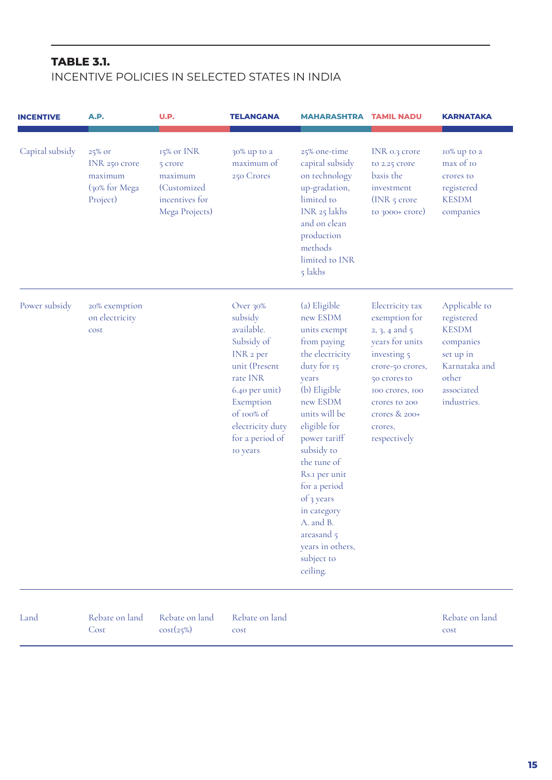# **TABLE 3.1.**

# INCENTIVE POLICIES IN SELECTED STATES IN INDIA

| <b>INCENTIVE</b> | <b>A.P.</b>                                                     | U.P.                                                                                | <b>TELANGANA</b>                                                                                                                                                                          | <b>MAHARASHTRA TAMIL NADU</b>                                                                                                                                                                                                                                                                                                                       |                                                                                                                                                                                                         | <b>KARNATAKA</b>                                                                                                             |
|------------------|-----------------------------------------------------------------|-------------------------------------------------------------------------------------|-------------------------------------------------------------------------------------------------------------------------------------------------------------------------------------------|-----------------------------------------------------------------------------------------------------------------------------------------------------------------------------------------------------------------------------------------------------------------------------------------------------------------------------------------------------|---------------------------------------------------------------------------------------------------------------------------------------------------------------------------------------------------------|------------------------------------------------------------------------------------------------------------------------------|
| Capital subsidy  | 25% or<br>INR 250 crore<br>maximum<br>(30% for Mega<br>Project) | 15% or INR<br>5 crore<br>maximum<br>(Customized<br>incentives for<br>Mega Projects) | 30% up to a<br>maximum of<br>250 Crores                                                                                                                                                   | 25% one-time<br>capital subsidy<br>on technology<br>up-gradation,<br>limited to<br>INR 25 lakhs<br>and on clean<br>production<br>methods<br>limited to INR<br>5 lakhs                                                                                                                                                                               | INR 0.3 crore<br>to 2.25 crore<br>basis the<br>investment<br>(INR $5$ crore<br>to 3000+ crore)                                                                                                          | 10% up to a<br>max of 10<br>crores to<br>registered<br><b>KESDM</b><br>companies                                             |
| Power subsidy    | 20% exemption<br>on electricity<br>cost                         |                                                                                     | Over 30%<br>subsidy<br>available.<br>Subsidy of<br>INR 2 per<br>unit (Present<br>rate INR<br>6.40 per unit)<br>Exemption<br>of 100% of<br>electricity duty<br>for a period of<br>to years | (a) Eligible<br>new ESDM<br>units exempt<br>from paying<br>the electricity<br>duty for 15<br>years<br>(b) Eligible<br>new ESDM<br>units will be<br>eligible for<br>power tariff<br>subsidy to<br>the tune of<br>Rs.I per unit<br>for a period<br>of 3 years<br>in category<br>A. and B.<br>areasand 5<br>years in others,<br>subject to<br>ceiling. | Electricity tax<br>exemption for<br>2, 3, 4 and 5<br>years for units<br>investing 5<br>crore-50 crores,<br>50 crores to<br>100 crores, 100<br>crores to 200<br>crores & 200+<br>crores,<br>respectively | Applicable to<br>registered<br><b>KESDM</b><br>companies<br>set up in<br>Karnataka and<br>other<br>associated<br>industries. |
| Land             | Rebate on land<br>Cost                                          | Rebate on land<br>cost(25%)                                                         | Rebate on land<br>cost                                                                                                                                                                    |                                                                                                                                                                                                                                                                                                                                                     |                                                                                                                                                                                                         | Rebate on land<br>cost                                                                                                       |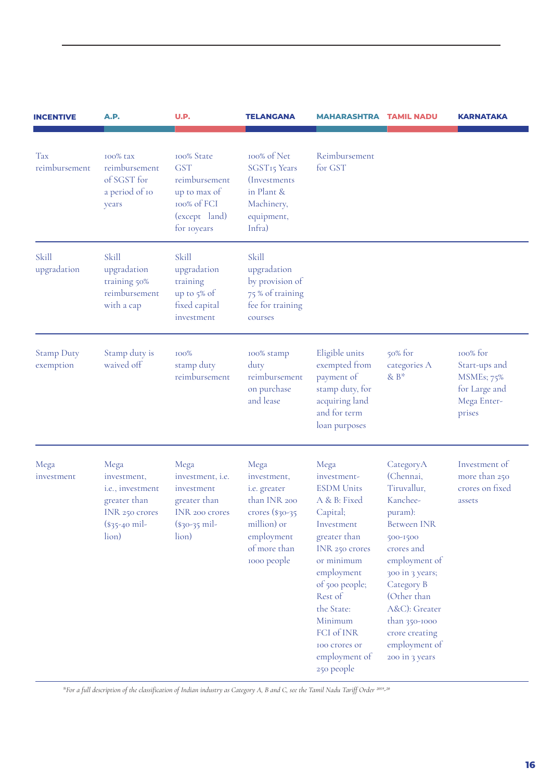| <b>INCENTIVE</b>               | A.P.                                                                                                 | U.P.                                                                                                      | <b>TELANGANA</b>                                                                                                                     | <b>MAHARASHTRA TAMIL NADU</b>                                                                                                                                                                                                                                        |                                                                                                                                                                                                                                                                      | <b>KARNATAKA</b>                                                                  |
|--------------------------------|------------------------------------------------------------------------------------------------------|-----------------------------------------------------------------------------------------------------------|--------------------------------------------------------------------------------------------------------------------------------------|----------------------------------------------------------------------------------------------------------------------------------------------------------------------------------------------------------------------------------------------------------------------|----------------------------------------------------------------------------------------------------------------------------------------------------------------------------------------------------------------------------------------------------------------------|-----------------------------------------------------------------------------------|
| Tax<br>reimbursement           | 100% tax<br>reimbursement<br>of SGST for<br>a period of 10<br>years                                  | 100% State<br><b>GST</b><br>reimbursement<br>up to max of<br>100% of FCI<br>(except land)<br>for royears  | 100% of Net<br>SGST15 Years<br><i>(Investments)</i><br>in Plant &<br>Machinery,<br>equipment,<br>Infra)                              | Reimbursement<br>for GST                                                                                                                                                                                                                                             |                                                                                                                                                                                                                                                                      |                                                                                   |
| Skill<br>upgradation           | Skill<br>upgradation<br>training 50%<br>reimbursement<br>with a cap                                  | <b>Skill</b><br>upgradation<br>training<br>up to 5% of<br>fixed capital<br>investment                     | <b>Skill</b><br>upgradation<br>by provision of<br>75 % of training<br>fee for training<br>courses                                    |                                                                                                                                                                                                                                                                      |                                                                                                                                                                                                                                                                      |                                                                                   |
| <b>Stamp Duty</b><br>exemption | Stamp duty is<br>waived off                                                                          | 100%<br>stamp duty<br>reimbursement                                                                       | 100% stamp<br>duty<br>reimbursement<br>on purchase<br>and lease                                                                      | Eligible units<br>exempted from<br>payment of<br>stamp duty, for<br>acquiring land<br>and for term<br>loan purposes                                                                                                                                                  | $50\%$ for<br>categories A<br>& $B*$                                                                                                                                                                                                                                 | 100% for<br>Start-ups and<br>MSMEs; 75%<br>for Large and<br>Mega Enter-<br>prises |
| Mega<br>investment             | Mega<br>investment,<br>i.e., investment<br>greater than<br>INR 250 crores<br>$(*35-40$ mil-<br>lion) | Mega<br>investment, i.e.<br>investment<br>greater than<br><b>INR</b> 200 crores<br>(\$30-35 mil-<br>lion) | Mega<br>investment,<br>i.e. greater<br>than INR 200<br>crores $(*30-35)$<br>million) or<br>employment<br>of more than<br>1000 people | Mega<br>investment-<br><b>ESDM</b> Units<br>A & B: Fixed<br>Capital;<br>Investment<br>greater than<br>INR 250 crores<br>or minimum<br>employment<br>of 500 people;<br>Rest of<br>the State:<br>Minimum<br>FCI of INR<br>100 crores or<br>employment of<br>250 people | CategoryA<br>(Chennai,<br>Tiruvallur,<br>Kanchee-<br>puram):<br><b>Between INR</b><br>500-1500<br>crores and<br>employment of<br>300 in 3 years;<br>Category B<br>(Other than<br>A&C): Greater<br>than 350-1000<br>crore creating<br>employment of<br>200 in 3 years | Investment of<br>more than 250<br>crores on fixed<br>assets                       |

*\*For a full description of the classification of Indian industry as Category A, B and C, see the Tamil Nadu Tariff Order 2019-20*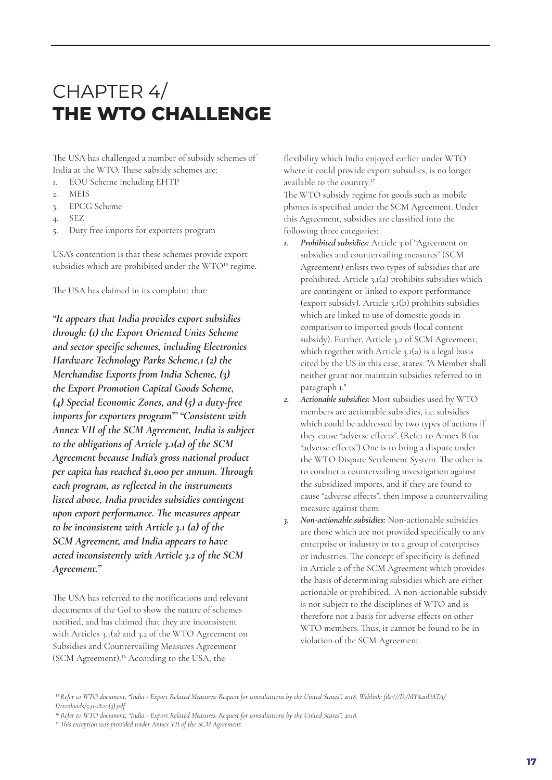# CHAPTER 4/ **THE WTO CHALLENGE**

The USA has challenged a number of subsidy schemes of India at the WTO. These subsidy schemes are:

- 1. EOU Scheme including EHTP
- 2. MEIS
- 3. EPCG Scheme
- 4. SEZ
- 5. Duty free imports for exporters program

USA's contention is that these schemes provide export subsidies which are prohibited under the WTO<sup>15</sup> regime.

The USA has claimed in its complaint that:

*"It appears that India provides export subsidies through: (1) the Export Oriented Units Scheme and sector specific schemes, including Electronics Hardware Technology Parks Scheme,1 (2) the Merchandise Exports from India Scheme, (3) the Export Promotion Capital Goods Scheme, (4) Special Economic Zones, and (5) a duty-free imports for exporters program"' "Consistent with Annex VII of the SCM Agreement, India is subject to the obligations of Article 3.1(a) of the SCM Agreement because India's gross national product per capita has reached \$1,000 per annum. Through each program, as reflected in the instruments listed above, India provides subsidies contingent upon export performance. The measures appear to be inconsistent with Article 3.1 (a) of the SCM Agreement, and India appears to have acted inconsistently with Article 3.2 of the SCM Agreement."*

The USA has referred to the notifications and relevant documents of the GoI to show the nature of schemes notified, and has claimed that they are inconsistent with Articles 3.1(a) and 3.2 of the WTO Agreement on Subsidies and Countervailing Measures Agreement (SCM Agreement).16 According to the USA, the

flexibility which India enjoyed earlier under WTO where it could provide export subsidies, is no longer available to the country.17

The WTO subsidy regime for goods such as mobile phones is specified under the SCM Agreement. Under this Agreement, subsidies are classified into the following three categories:

- *1. Prohibited subsidies:* Article 3 of "Agreement on subsidies and countervailing measures" (SCM Agreement) enlists two types of subsidies that are prohibited. Article 3.1(a) prohibits subsidies which are contingent or linked to export performance (export subsidy). Article 3.1(b) prohibits subsidies which are linked to use of domestic goods in comparison to imported goods (local content subsidy). Further, Article 3.2 of SCM Agreement, which together with Article 3.1(a) is a legal basis cited by the US in this case, states: "A Member shall neither grant nor maintain subsidies referred to in paragraph 1."
- *2. Actionable subsidies:* Most subsidies used by WTO members are actionable subsidies, i.e. subsidies which could be addressed by two types of actions if they cause "adverse effects". (Refer to Annex B for "adverse effects") One is to bring a dispute under the WTO Dispute Settlement System. The other is to conduct a countervailing investigation against the subsidized imports, and if they are found to cause "adverse effects", then impose a countervailing measure against them.
- *3. Non-actionable subsidies:* Non-actionable subsidies are those which are not provided specifically to any enterprise or industry or to a group of enterprises or industries. The concept of specificity is defined in Article 2 of the SCM Agreement which provides the basis of determining subsidies which are either actionable or prohibited. A non-actionable subsidy is not subject to the disciplines of WTO and is therefore not a basis for adverse effects on other WTO members. Thus, it cannot be found to be in violation of the SCM Agreement.

*<sup>15</sup> Refer to WTO document, "India - Export Related Measures: Request for consultations by the United States", 2018. Weblink: file:///D:/MY%20DATA/ Downloads/541-1%20(3).pdf*

*<sup>16</sup> Refer to WTO document, "India - Export Related Measures: Request for consultations by the United States", 2018.*

*<sup>17</sup> This exception was provided under Annex VII of the SCM Agreement.*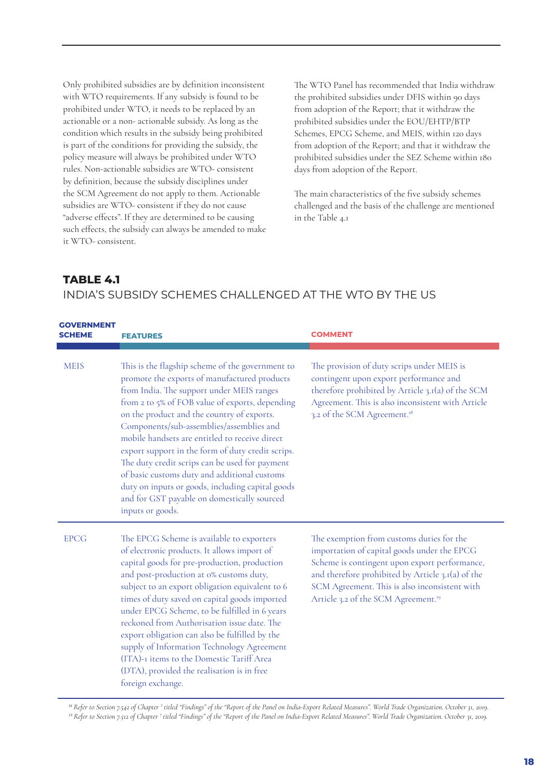Only prohibited subsidies are by definition inconsistent with WTO requirements. If any subsidy is found to be prohibited under WTO, it needs to be replaced by an actionable or a non- actionable subsidy. As long as the condition which results in the subsidy being prohibited is part of the conditions for providing the subsidy, the policy measure will always be prohibited under WTO rules. Non-actionable subsidies are WTO- consistent by definition, because the subsidy disciplines under the SCM Agreement do not apply to them. Actionable subsidies are WTO- consistent if they do not cause "adverse effects". If they are determined to be causing such effects, the subsidy can always be amended to make it WTO- consistent.

The WTO Panel has recommended that India withdraw the prohibited subsidies under DFIS within 90 days from adoption of the Report; that it withdraw the prohibited subsidies under the EOU/EHTP/BTP Schemes, EPCG Scheme, and MEIS, within 120 days from adoption of the Report; and that it withdraw the prohibited subsidies under the SEZ Scheme within 180 days from adoption of the Report.

The main characteristics of the five subsidy schemes challenged and the basis of the challenge are mentioned in the Table 4.1

### **TABLE 4.1**

### INDIA'S SUBSIDY SCHEMES CHALLENGED AT THE WTO BY THE US

| <b>GOVERNMENT</b><br>SCHEME | FEATURES                                                                                                                                                                                                                                                                                                                                                                                                                                                                                                                                                                                                                   | <b>COMMENT</b>                                                                                                                                                                                                                                                                                     |
|-----------------------------|----------------------------------------------------------------------------------------------------------------------------------------------------------------------------------------------------------------------------------------------------------------------------------------------------------------------------------------------------------------------------------------------------------------------------------------------------------------------------------------------------------------------------------------------------------------------------------------------------------------------------|----------------------------------------------------------------------------------------------------------------------------------------------------------------------------------------------------------------------------------------------------------------------------------------------------|
| <b>MEIS</b>                 | This is the flagship scheme of the government to<br>promote the exports of manufactured products<br>from India. The support under MEIS ranges<br>from 2 to 5% of FOB value of exports, depending<br>on the product and the country of exports.<br>Components/sub-assemblies/assemblies and<br>mobile handsets are entitled to receive direct<br>export support in the form of duty credit scrips.<br>The duty credit scrips can be used for payment<br>of basic customs duty and additional customs<br>duty on inputs or goods, including capital goods<br>and for GST payable on domestically sourced<br>inputs or goods. | The provision of duty scrips under MEIS is<br>contingent upon export performance and<br>therefore prohibited by Article 3.1(a) of the SCM<br>Agreement. This is also inconsistent with Article<br>3.2 of the SCM Agreement. <sup>18</sup>                                                          |
| <b>EPCG</b>                 | The EPCG Scheme is available to exporters<br>of electronic products. It allows import of<br>capital goods for pre-production, production<br>and post-production at 0% customs duty,<br>subject to an export obligation equivalent to 6<br>times of duty saved on capital goods imported<br>under EPCG Scheme, to be fulfilled in 6 years<br>reckoned from Authorisation issue date. The<br>export obligation can also be fulfilled by the<br>supply of Information Technology Agreement<br>(ITA)-I items to the Domestic Tariff Area<br>(DTA), provided the realisation is in free<br>foreign exchange.                    | The exemption from customs duties for the<br>importation of capital goods under the EPCG<br>Scheme is contingent upon export performance,<br>and therefore prohibited by Article 3.1(a) of the<br>SCM Agreement. This is also inconsistent with<br>Article 3.2 of the SCM Agreement. <sup>19</sup> |

<sup>18</sup> Refer to Section 7.542 of Chapter <sup>7</sup> titled "Findings" of the "Report of the Panel on India-Export Related Measures". World Trade Organization. October 31, 2019. *19 Refer to Section 7.512 of Chapter 7 titled "Findings" of the "Report of the Panel on India-Export Related Measures". World Trade Organization. October 31, 2019.*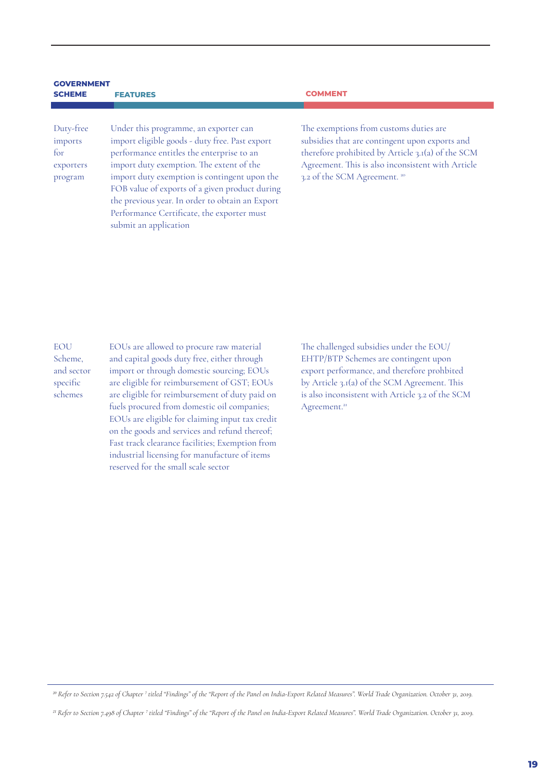#### **GOVERNMENT SCHEME FEATURES COMMENT**

Duty-free imports for exporters program

Under this programme, an exporter can import eligible goods - duty free. Past export performance entitles the enterprise to an import duty exemption. The extent of the import duty exemption is contingent upon the FOB value of exports of a given product during the previous year. In order to obtain an Export Performance Certificate, the exporter must submit an application

The exemptions from customs duties are subsidies that are contingent upon exports and therefore prohibited by Article 3.1(a) of the SCM Agreement. This is also inconsistent with Article 3.2 of the SCM Agreement. 20

**EOU** Scheme, and sector specific schemes

EOUs are allowed to procure raw material and capital goods duty free, either through import or through domestic sourcing; EOUs are eligible for reimbursement of GST; EOUs are eligible for reimbursement of duty paid on fuels procured from domestic oil companies; EOUs are eligible for claiming input tax credit on the goods and services and refund thereof; Fast track clearance facilities; Exemption from industrial licensing for manufacture of items reserved for the small scale sector

The challenged subsidies under the EOU/ EHTP/BTP Schemes are contingent upon export performance, and therefore prohbited by Article 3.1(a) of the SCM Agreement. This is also inconsistent with Article 3.2 of the SCM Agreement.<sup>21</sup>

*<sup>20</sup> Refer to Section 7.542 of Chapter 7 titled "Findings" of the "Report of the Panel on India-Export Related Measures". World Trade Organization. October 31, 2019.*

*<sup>21</sup> Refer to Section 7.498 of Chapter 7 titled "Findings" of the "Report of the Panel on India-Export Related Measures". World Trade Organization. October 31, 2019.*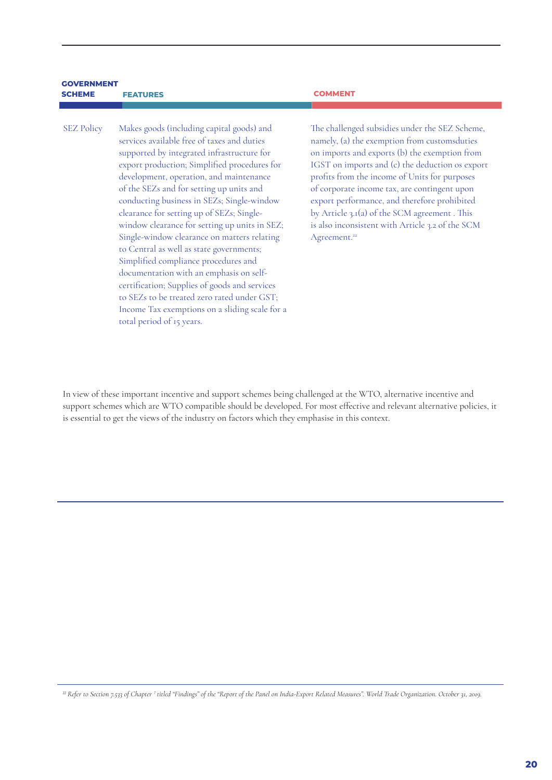| <b>SCHEME</b>     | <b>FEATURES</b>                                                                                                                                                                                                                                                                                                                                                                                                                                                                                                                                                                                                                                                                                         | <b>COMMENT</b>                                                                                                                                                                                                                |
|-------------------|---------------------------------------------------------------------------------------------------------------------------------------------------------------------------------------------------------------------------------------------------------------------------------------------------------------------------------------------------------------------------------------------------------------------------------------------------------------------------------------------------------------------------------------------------------------------------------------------------------------------------------------------------------------------------------------------------------|-------------------------------------------------------------------------------------------------------------------------------------------------------------------------------------------------------------------------------|
|                   |                                                                                                                                                                                                                                                                                                                                                                                                                                                                                                                                                                                                                                                                                                         |                                                                                                                                                                                                                               |
| <b>SEZ Policy</b> | Makes goods (including capital goods) and<br>services available free of taxes and duties<br>supported by integrated infrastructure for<br>export production; Simplified procedures for<br>development, operation, and maintenance<br>of the SEZs and for setting up units and<br>conducting business in SEZs; Single-window<br>clearance for setting up of SEZs; Single-<br>window clearance for setting up units in SEZ;<br>Single-window clearance on matters relating<br>to Central as well as state governments;<br>Simplified compliance procedures and<br>documentation with an emphasis on self-<br>certification; Supplies of goods and services<br>to SEZs to be treated zero rated under GST; | The challenged sul<br>namely, (a) the exe<br>on imports and ex<br>IGST on imports<br>profits from the in<br>of corporate incor<br>export performan<br>by Article 3.1(a) of<br>is also inconsisten<br>Agreement. <sup>22</sup> |

Income Tax exemptions on a sliding scale for a

total period of 15 years.

**GOVERNMENT** 

bsidies under the SEZ Scheme. emption from customsduties ports (b) the exemption from and (c) the deduction os export ncome of Units for purposes me tax, are contingent upon ce, and therefore prohibited f the SCM agreement . This it with Article 3.2 of the SCM

In view of these important incentive and support schemes being challenged at the WTO, alternative incentive and support schemes which are WTO compatible should be developed. For most effective and relevant alternative policies, it is essential to get the views of the industry on factors which they emphasise in this context.

*<sup>22</sup> Refer to Section 7.533 of Chapter 7 titled "Findings" of the "Report of the Panel on India-Export Related Measures". World Trade Organization. October 31, 2019.*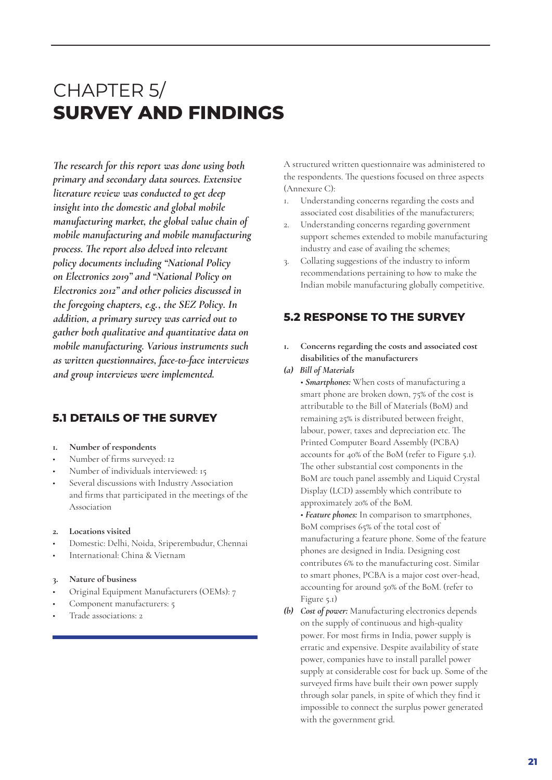# CHAPTER 5/ **SURVEY AND FINDINGS**

*The research for this report was done using both primary and secondary data sources. Extensive literature review was conducted to get deep insight into the domestic and global mobile manufacturing market, the global value chain of mobile manufacturing and mobile manufacturing process. The report also delved into relevant policy documents including "National Policy on Electronics 2019" and "National Policy on Electronics 2012" and other policies discussed in the foregoing chapters, e.g., the SEZ Policy. In addition, a primary survey was carried out to gather both qualitative and quantitative data on mobile manufacturing. Various instruments such as written questionnaires, face-to-face interviews and group interviews were implemented.*

### **5.1 DETAILS OF THE SURVEY**

- **1. Number of respondents**
- Number of firms surveyed: 12
- Number of individuals interviewed: 15
- Several discussions with Industry Association and firms that participated in the meetings of the Association
- **2. Locations visited**
- Domestic: Delhi, Noida, Sriperembudur, Chennai
- International: China & Vietnam

#### **3. Nature of business**

- Original Equipment Manufacturers (OEMs): 7
- Component manufacturers: 5
- Trade associations: 2

A structured written questionnaire was administered to the respondents. The questions focused on three aspects (Annexure C):

- 1. Understanding concerns regarding the costs and associated cost disabilities of the manufacturers;
- 2. Understanding concerns regarding government support schemes extended to mobile manufacturing industry and ease of availing the schemes;
- 3. Collating suggestions of the industry to inform recommendations pertaining to how to make the Indian mobile manufacturing globally competitive.

# **5.2 RESPONSE TO THE SURVEY**

- **1. Concerns regarding the costs and associated cost disabilities of the manufacturers**
- *(a) Bill of Materials*
	- *Smartphones:* When costs of manufacturing a smart phone are broken down, 75% of the cost is attributable to the Bill of Materials (BoM) and remaining 25% is distributed between freight, labour, power, taxes and depreciation etc. The Printed Computer Board Assembly (PCBA) accounts for 40% of the BoM (refer to Figure 5.1). The other substantial cost components in the BoM are touch panel assembly and Liquid Crystal Display (LCD) assembly which contribute to approximately 20% of the BoM.

• *Feature phones:* In comparison to smartphones, BoM comprises 65% of the total cost of manufacturing a feature phone. Some of the feature phones are designed in India. Designing cost contributes 6% to the manufacturing cost. Similar to smart phones, PCBA is a major cost over-head, accounting for around 50% of the BoM. (refer to Figure 5.1)

*(b) Cost of power:* Manufacturing electronics depends on the supply of continuous and high-quality power. For most firms in India, power supply is erratic and expensive. Despite availability of state power, companies have to install parallel power supply at considerable cost for back up. Some of the surveyed firms have built their own power supply through solar panels, in spite of which they find it impossible to connect the surplus power generated with the government grid.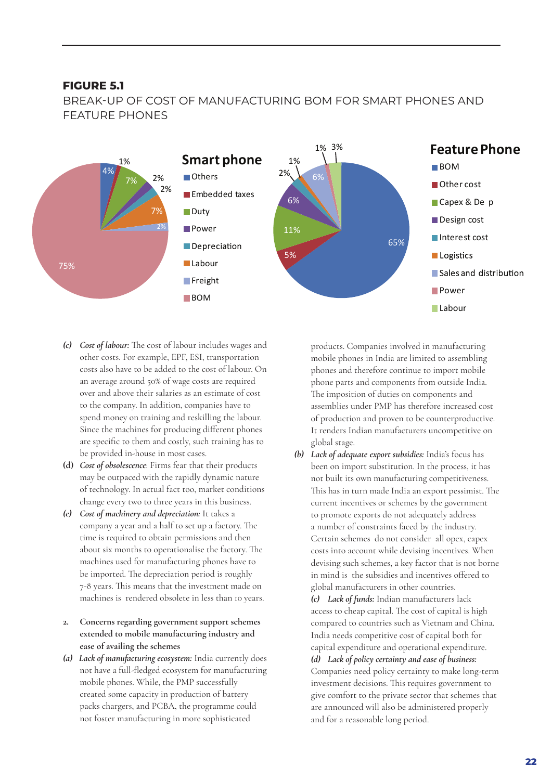#### **FIGURE 5.1**

BREAK-UP OF COST OF MANUFACTURING BOM FOR SMART PHONES AND FEATURE PHONES



- *(c) Cost of labour:* The cost of labour includes wages and other costs. For example, EPF, ESI, transportation costs also have to be added to the cost of labour. On an average around 50% of wage costs are required over and above their salaries as an estimate of cost to the company. In addition, companies have to spend money on training and reskilling the labour. Since the machines for producing different phones are specific to them and costly, such training has to be provided in-house in most cases.
- **(d)** *Cost of obsolescence*: Firms fear that their products may be outpaced with the rapidly dynamic nature of technology. In actual fact too, market conditions change every two to three years in this business.
- *(e) Cost of machinery and depreciation:* It takes a company a year and a half to set up a factory. The time is required to obtain permissions and then about six months to operationalise the factory. The machines used for manufacturing phones have to be imported. The depreciation period is roughly 7-8 years. This means that the investment made on machines is rendered obsolete in less than 10 years.
- **2. Concerns regarding government support schemes extended to mobile manufacturing industry and ease of availing the schemes**
- *(a) Lack of manufacturing ecosystem:* India currently does not have a full-fledged ecosystem for manufacturing mobile phones. While, the PMP successfully created some capacity in production of battery packs chargers, and PCBA, the programme could not foster manufacturing in more sophisticated

products. Companies involved in manufacturing mobile phones in India are limited to assembling phones and therefore continue to import mobile phone parts and components from outside India. The imposition of duties on components and assemblies under PMP has therefore increased cost of production and proven to be counterproductive. It renders Indian manufacturers uncompetitive on global stage.

*(b) Lack of adequate export subsidies:* India's focus has been on import substitution. In the process, it has not built its own manufacturing competitiveness. This has in turn made India an export pessimist. The current incentives or schemes by the government to promote exports do not adequately address a number of constraints faced by the industry. Certain schemes do not consider all opex, capex costs into account while devising incentives. When devising such schemes, a key factor that is not borne in mind is the subsidies and incentives offered to global manufacturers in other countries.

*(c) Lack of funds:* Indian manufacturers lack access to cheap capital. The cost of capital is high compared to countries such as Vietnam and China. India needs competitive cost of capital both for capital expenditure and operational expenditure. *(d) Lack of policy certainty and ease of business:*  Companies need policy certainty to make long-term investment decisions. This requires government to give comfort to the private sector that schemes that are announced will also be administered properly and for a reasonable long period.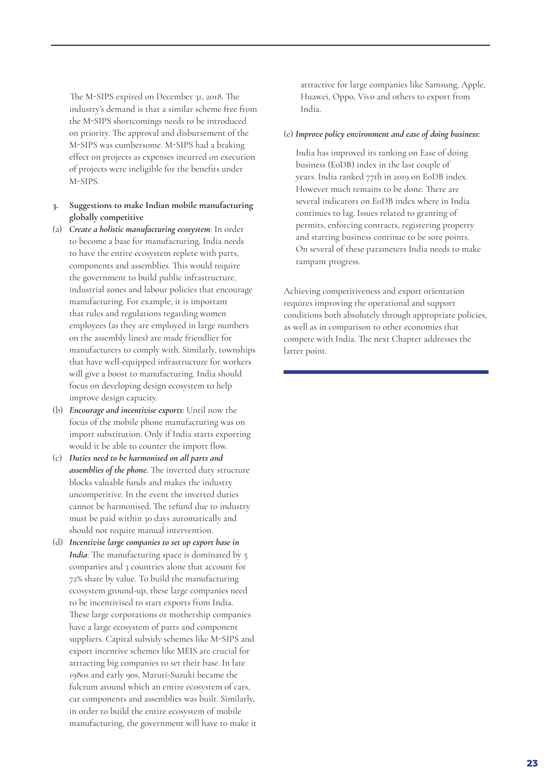The M-SIPS expired on December 31, 2018. The industry's demand is that a similar scheme free from the M-SIPS shortcomings needs to be introduced on priority. The approval and disbursement of the M-SIPS was cumbersome. M-SIPS had a braking effect on projects as expenses incurred on execution of projects were ineligible for the benefits under M-SIPS.

- **3. Suggestions to make Indian mobile manufacturing globally competitive**
- (a) *Create a holistic manufacturing ecosystem*: In order to become a base for manufacturing, India needs to have the entire ecosystem replete with parts, components and assemblies. This would require the government to build public infrastructure, industrial zones and labour policies that encourage manufacturing. For example, it is important that rules and regulations regarding women employees (as they are employed in large numbers on the assembly lines) are made friendlier for manufacturers to comply with. Similarly, townships that have well-equipped infrastructure for workers will give a boost to manufacturing. India should focus on developing design ecosystem to help improve design capacity.
- (b) *Encourage and incentivise exports*: Until now the focus of the mobile phone manufacturing was on import substitution. Only if India starts exporting would it be able to counter the import flow.
- (c) *Duties need to be harmonised on all parts and assemblies of the phone.* The inverted duty structure blocks valuable funds and makes the industry uncompetitive. In the event the inverted duties cannot be harmonised. The refund due to industry must be paid within 30 days automatically and should not require manual intervention.
- (d) *Incentivise large companies to set up export base in India*: The manufacturing space is dominated by 5 companies and 3 countries alone that account for 72% share by value. To build the manufacturing ecosystem ground-up, these large companies need to be incentivised to start exports from India. These large corporations or mothership companies have a large ecosystem of parts and component suppliers. Capital subsidy schemes like M-SIPS and export incentive schemes like MEIS are crucial for attracting big companies to set their base. In late 1980s and early 90s, Maruti-Suzuki became the fulcrum around which an entire ecosystem of cars, car components and assemblies was built. Similarly, in order to build the entire ecosystem of mobile manufacturing, the government will have to make it

attractive for large companies like Samsung, Apple, Huawei, Oppo, Vivo and others to export from India.

#### (e) *Improve policy environment and ease of doing business:*

India has improved its ranking on Ease of doing business (EoDB) index in the last couple of years. India ranked 77th in 2019 on EoDB index. However much remains to be done. There are several indicators on EoDB index where in India continues to lag. Issues related to granting of permits, enforcing contracts, registering property and starting business continue to be sore points. On several of these parameters India needs to make rampant progress.

Achieving competitiveness and export orientation requires improving the operational and support conditions both absolutely through appropriate policies, as well as in comparison to other economies that compete with India. The next Chapter addresses the latter point.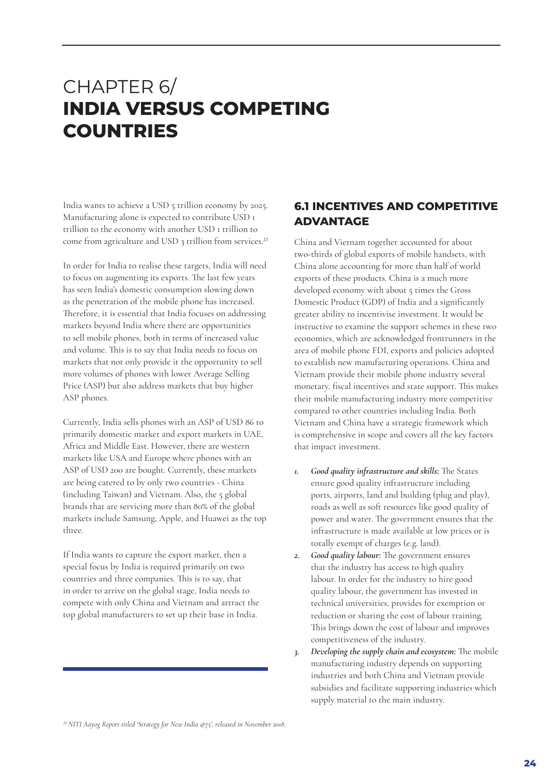# CHAPTER 6/ **INDIA VERSUS COMPETING COUNTRIES**

India wants to achieve a USD 5 trillion economy by 2025. Manufacturing alone is expected to contribute USD 1 trillion to the economy with another USD 1 trillion to come from agriculture and USD 3 trillion from services.<sup>23</sup>

In order for India to realise these targets, India will need to focus on augmenting its exports. The last few years has seen India's domestic consumption slowing down as the penetration of the mobile phone has increased. Therefore, it is essential that India focuses on addressing markets beyond India where there are opportunities to sell mobile phones, both in terms of increased value and volume. This is to say that India needs to focus on markets that not only provide it the opportunity to sell more volumes of phones with lower Average Selling Price (ASP) but also address markets that buy higher ASP phones.

Currently, India sells phones with an ASP of USD 86 to primarily domestic market and export markets in UAE, Africa and Middle East. However, there are western markets like USA and Europe where phones with an ASP of USD 200 are bought. Currently, these markets are being catered to by only two countries - China (including Taiwan) and Vietnam. Also, the 5 global brands that are servicing more than 80% of the global markets include Samsung, Apple, and Huawei as the top three.

If India wants to capture the export market, then a special focus by India is required primarily on two countries and three companies. This is to say, that in order to arrive on the global stage, India needs to compete with only China and Vietnam and attract the top global manufacturers to set up their base in India.

# **6.1 INCENTIVES AND COMPETITIVE ADVANTAGE**

China and Vietnam together accounted for about two-thirds of global exports of mobile handsets, with China alone accounting for more than half of world exports of these products. China is a much more developed economy with about 5 times the Gross Domestic Product (GDP) of India and a significantly greater ability to incentivise investment. It would be instructive to examine the support schemes in these two economies, which are acknowledged frontrunners in the area of mobile phone FDI, exports and policies adopted to establish new manufacturing operations. China and Vietnam provide their mobile phone industry several monetary, fiscal incentives and state support. This makes their mobile manufacturing industry more competitive compared to other countries including India. Both Vietnam and China have a strategic framework which is comprehensive in scope and covers all the key factors that impact investment.

- *1. Good quality infrastructure and skills:* The States ensure good quality infrastructure including ports, airports, land and building (plug and play), roads as well as soft resources like good quality of power and water. The government ensures that the infrastructure is made available at low prices or is totally exempt of charges (e.g. land).
- *2. Good quality labour:* The government ensures that the industry has access to high quality labour. In order for the industry to hire good quality labour, the government has invested in technical universities, provides for exemption or reduction or sharing the cost of labour training. This brings down the cost of labour and improves competitiveness of the industry.
- *3. Developing the supply chain and ecosystem:* The mobile manufacturing industry depends on supporting industries and both China and Vietnam provide subsidies and facilitate supporting industries which supply material to the main industry.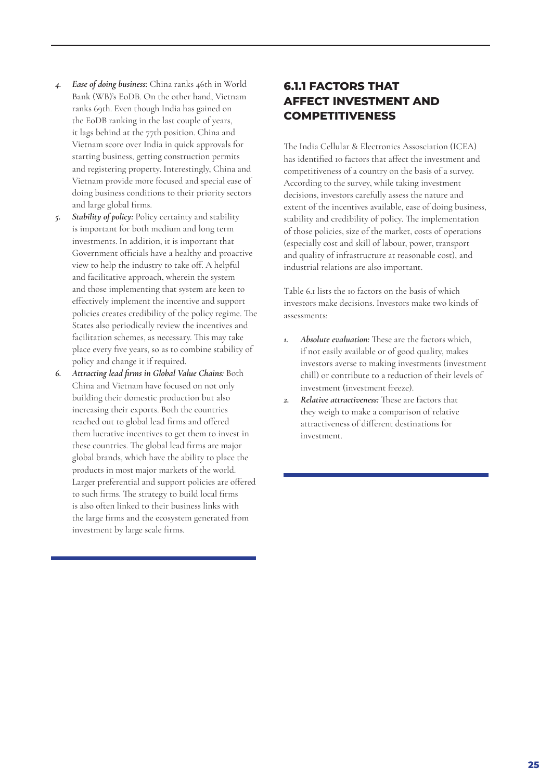- *4. Ease of doing business:* China ranks 46th in World Bank (WB)'s EoDB. On the other hand, Vietnam ranks 69th. Even though India has gained on the EoDB ranking in the last couple of years, it lags behind at the 77th position. China and Vietnam score over India in quick approvals for starting business, getting construction permits and registering property. Interestingly, China and Vietnam provide more focused and special ease of doing business conditions to their priority sectors and large global firms.
- *5. Stability of policy:* Policy certainty and stability is important for both medium and long term investments. In addition, it is important that Government officials have a healthy and proactive view to help the industry to take off. A helpful and facilitative approach, wherein the system and those implementing that system are keen to effectively implement the incentive and support policies creates credibility of the policy regime. The States also periodically review the incentives and facilitation schemes, as necessary. This may take place every five years, so as to combine stability of policy and change it if required.
- *6. Attracting lead firms in Global Value Chains:* Both China and Vietnam have focused on not only building their domestic production but also increasing their exports. Both the countries reached out to global lead firms and offered them lucrative incentives to get them to invest in these countries. The global lead firms are major global brands, which have the ability to place the products in most major markets of the world. Larger preferential and support policies are offered to such firms. The strategy to build local firms is also often linked to their business links with the large firms and the ecosystem generated from investment by large scale firms.

# **6.1.1 FACTORS THAT AFFECT INVESTMENT AND COMPETITIVENESS**

The India Cellular & Electronics Assosciation (ICEA) has identified 10 factors that affect the investment and competitiveness of a country on the basis of a survey. According to the survey, while taking investment decisions, investors carefully assess the nature and extent of the incentives available, ease of doing business, stability and credibility of policy. The implementation of those policies, size of the market, costs of operations (especially cost and skill of labour, power, transport and quality of infrastructure at reasonable cost), and industrial relations are also important.

Table 6.1 lists the 10 factors on the basis of which investors make decisions. Investors make two kinds of assessments:

- *1. Absolute evaluation:* These are the factors which, if not easily available or of good quality, makes investors averse to making investments (investment chill) or contribute to a reduction of their levels of investment (investment freeze).
- *2. Relative attractiveness:* These are factors that they weigh to make a comparison of relative attractiveness of different destinations for investment.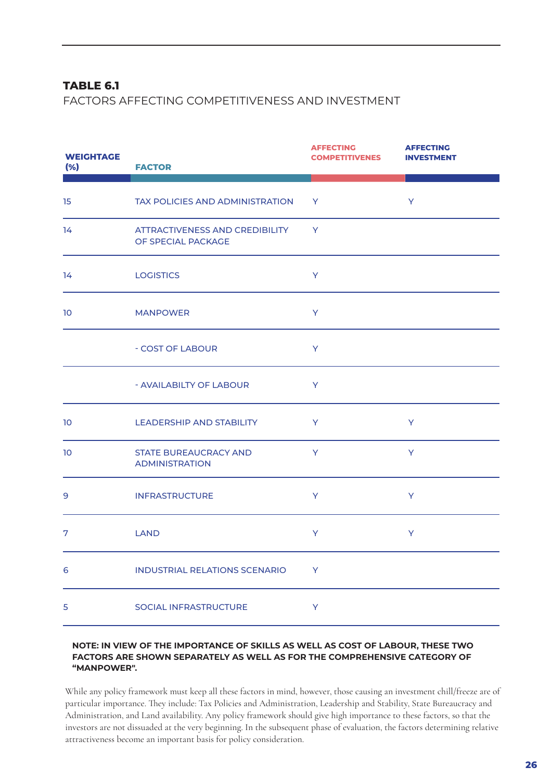### **TABLE 6.1**

FACTORS AFFECTING COMPETITIVENESS AND INVESTMENT

| <b>WEIGHTAGE</b><br>(% ) | <b>FACTOR</b>                                         | <b>AFFECTING</b><br><b>COMPETITIVENES</b> | <b>AFFECTING</b><br><b>INVESTMENT</b> |
|--------------------------|-------------------------------------------------------|-------------------------------------------|---------------------------------------|
| 15                       | TAX POLICIES AND ADMINISTRATION                       | Y                                         | Y                                     |
| 14                       | ATTRACTIVENESS AND CREDIBILITY<br>OF SPECIAL PACKAGE  | <b>Y</b>                                  |                                       |
| 14                       | <b>LOGISTICS</b>                                      | Y                                         |                                       |
| 10                       | <b>MANPOWER</b>                                       | Y                                         |                                       |
|                          | - COST OF LABOUR                                      | Y                                         |                                       |
|                          | - AVAILABILTY OF LABOUR                               | Y                                         |                                       |
| 10                       | LEADERSHIP AND STABILITY                              | Y                                         | Y                                     |
| 10                       | <b>STATE BUREAUCRACY AND</b><br><b>ADMINISTRATION</b> | Y                                         | Y                                     |
| 9                        | <b>INFRASTRUCTURE</b>                                 | Y                                         | Y                                     |
| 7                        | <b>LAND</b>                                           | Y                                         | Y                                     |
| 6                        | <b>INDUSTRIAL RELATIONS SCENARIO</b>                  | Y                                         |                                       |
| 5                        | <b>SOCIAL INFRASTRUCTURE</b>                          | Y                                         |                                       |

#### **NOTE: IN VIEW OF THE IMPORTANCE OF SKILLS AS WELL AS COST OF LABOUR, THESE TWO FACTORS ARE SHOWN SEPARATELY AS WELL AS FOR THE COMPREHENSIVE CATEGORY OF "MANPOWER".**

While any policy framework must keep all these factors in mind, however, those causing an investment chill/freeze are of particular importance. They include: Tax Policies and Administration, Leadership and Stability, State Bureaucracy and Administration, and Land availability. Any policy framework should give high importance to these factors, so that the investors are not dissuaded at the very beginning. In the subsequent phase of evaluation, the factors determining relative attractiveness become an important basis for policy consideration.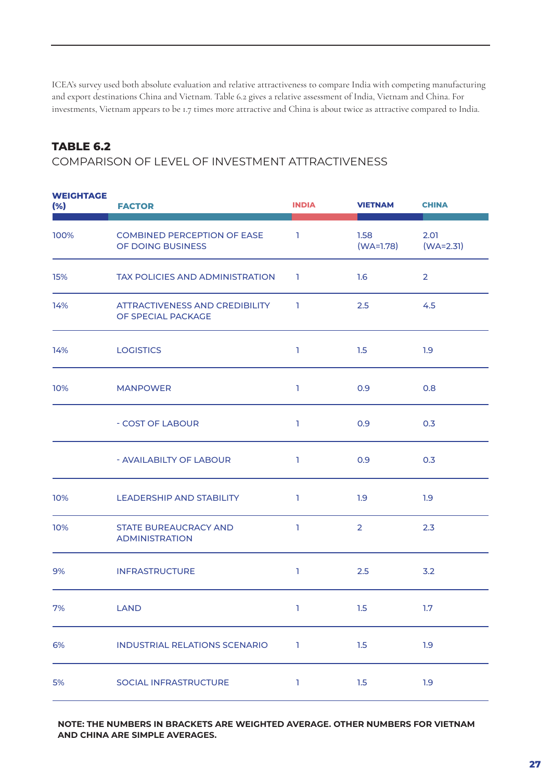ICEA's survey used both absolute evaluation and relative attractiveness to compare India with competing manufacturing and export destinations China and Vietnam. Table 6.2 gives a relative assessment of India, Vietnam and China. For investments, Vietnam appears to be 1.7 times more attractive and China is about twice as attractive compared to India.

### **TABLE 6.2**

COMPARISON OF LEVEL OF INVESTMENT ATTRACTIVENESS

| <b>WEIGHTAGE</b><br>(%) | <b>FACTOR</b>                                           | <b>INDIA</b> | <b>VIETNAM</b>      | <b>CHINA</b>        |
|-------------------------|---------------------------------------------------------|--------------|---------------------|---------------------|
| 100%                    | <b>COMBINED PERCEPTION OF EASE</b><br>OF DOING BUSINESS | п.           | 1.58<br>$(WA=1.78)$ | 2.01<br>$(WA=2.31)$ |
| 15%                     | TAX POLICIES AND ADMINISTRATION                         | $\Box$       | 1.6                 | $\overline{2}$      |
| 14%                     | ATTRACTIVENESS AND CREDIBILITY<br>OF SPECIAL PACKAGE    | -1           | 2.5                 | 4.5                 |
| 14%                     | <b>LOGISTICS</b>                                        | ı            | 1.5                 | 1.9                 |
| 10%                     | <b>MANPOWER</b>                                         | L.           | 0.9                 | 0.8                 |
|                         | - COST OF LABOUR                                        | T            | 0.9                 | 0.3                 |
|                         | - AVAILABILTY OF LABOUR                                 | ı            | 0.9                 | 0.3                 |
| 10%                     | <b>LEADERSHIP AND STABILITY</b>                         |              | 1.9                 | 1.9                 |
| 10%                     | <b>STATE BUREAUCRACY AND</b><br><b>ADMINISTRATION</b>   |              | $\overline{2}$      | 2.3                 |
| 9%                      | <b>INFRASTRUCTURE</b>                                   |              | 2.5                 | 3.2                 |
| 7%                      | LAND                                                    | $\mathbf{1}$ | 1.5                 | 1.7                 |
| 6%                      | <b>INDUSTRIAL RELATIONS SCENARIO</b>                    | ı            | 1.5                 | 1.9                 |
| 5%                      | SOCIAL INFRASTRUCTURE                                   | ı            | 1.5                 | 1.9                 |

**NOTE: THE NUMBERS IN BRACKETS ARE WEIGHTED AVERAGE. OTHER NUMBERS FOR VIETNAM AND CHINA ARE SIMPLE AVERAGES.**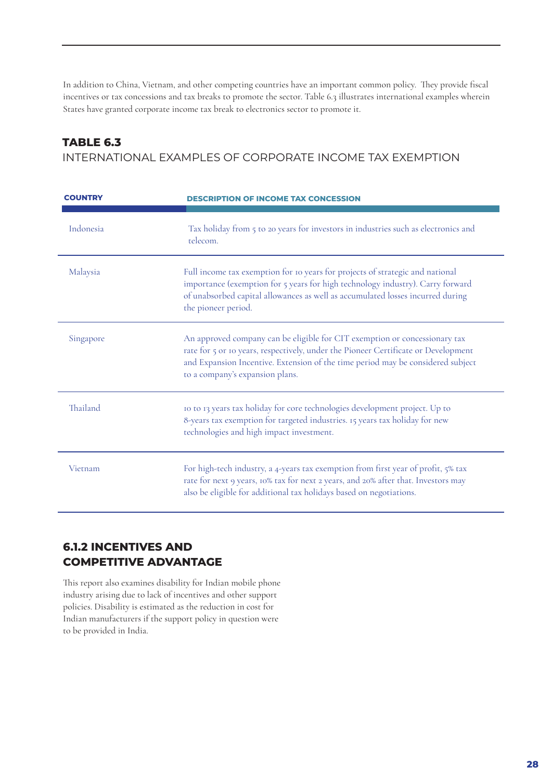In addition to China, Vietnam, and other competing countries have an important common policy. They provide fiscal incentives or tax concessions and tax breaks to promote the sector. Table 6.3 illustrates international examples wherein States have granted corporate income tax break to electronics sector to promote it.

# **TABLE 6.3**

INTERNATIONAL EXAMPLES OF CORPORATE INCOME TAX EXEMPTION

| <b>COUNTRY</b> | <b>DESCRIPTION OF INCOME TAX CONCESSION</b>                                                                                                                                                                                                                                            |
|----------------|----------------------------------------------------------------------------------------------------------------------------------------------------------------------------------------------------------------------------------------------------------------------------------------|
| Indonesia      | Tax holiday from 5 to 20 years for investors in industries such as electronics and<br>telecom.                                                                                                                                                                                         |
| Malaysia       | Full income tax exemption for 10 years for projects of strategic and national<br>importance (exemption for 5 years for high technology industry). Carry forward<br>of unabsorbed capital allowances as well as accumulated losses incurred during<br>the pioneer period.               |
| Singapore      | An approved company can be eligible for CIT exemption or concessionary tax<br>rate for 5 or 10 years, respectively, under the Pioneer Certificate or Development<br>and Expansion Incentive. Extension of the time period may be considered subject<br>to a company's expansion plans. |
| Thailand       | 10 to 13 years tax holiday for core technologies development project. Up to<br>8-years tax exemption for targeted industries. 15 years tax holiday for new<br>technologies and high impact investment.                                                                                 |
| Vietnam        | For high-tech industry, a 4-years tax exemption from first year of profit, 5% tax<br>rate for next 9 years, 10% tax for next 2 years, and 20% after that. Investors may<br>also be eligible for additional tax holidays based on negotiations.                                         |

# **6.1.2 INCENTIVES AND COMPETITIVE ADVANTAGE**

This report also examines disability for Indian mobile phone industry arising due to lack of incentives and other support policies. Disability is estimated as the reduction in cost for Indian manufacturers if the support policy in question were to be provided in India.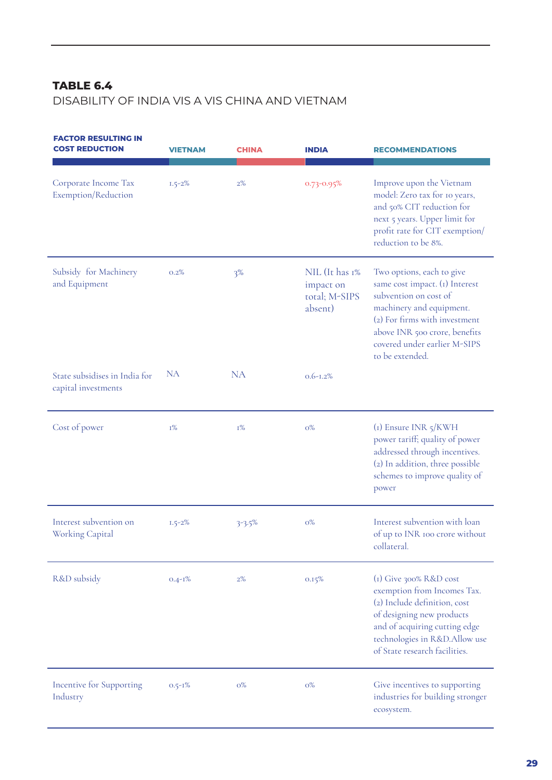# **TABLE 6.4**

DISABILITY OF INDIA VIS A VIS CHINA AND VIETNAM

| <b>FACTOR RESULTING IN</b><br><b>COST REDUCTION</b>  | <b>VIETNAM</b> | <b>CHINA</b> | <b>INDIA</b>                                            | <b>RECOMMENDATIONS</b>                                                                                                                                                                                                                |
|------------------------------------------------------|----------------|--------------|---------------------------------------------------------|---------------------------------------------------------------------------------------------------------------------------------------------------------------------------------------------------------------------------------------|
| Corporate Income Tax<br>Exemption/Reduction          | $1.5 - 2\%$    | 2%           | 0.73-0.95%                                              | Improve upon the Vietnam<br>model: Zero tax for 10 years,<br>and 50% CIT reduction for<br>next 5 years. Upper limit for<br>profit rate for CIT exemption/<br>reduction to be 8%.                                                      |
| Subsidy for Machinery<br>and Equipment               | 0.2%           | 3%           | NIL (It has 1%<br>impact on<br>total; M-SIPS<br>absent) | Two options, each to give<br>same cost impact. (1) Interest<br>subvention on cost of<br>machinery and equipment.<br>(2) For firms with investment<br>above INR 500 crore, benefits<br>covered under earlier M-SIPS<br>to be extended. |
| State subsidises in India for<br>capital investments | <b>NA</b>      | <b>NA</b>    | $0.6 - 1.2\%$                                           |                                                                                                                                                                                                                                       |
| Cost of power                                        | $1\%$          | $I\%$        | $O\%$                                                   | $(i)$ Ensure INR $5/KWH$<br>power tariff; quality of power<br>addressed through incentives.<br>(2) In addition, three possible<br>schemes to improve quality of<br>power                                                              |
| Interest subvention on<br>Working Capital            | $1.5 - 2\%$    | $3 - 3.5\%$  | $O\%$                                                   | Interest subvention with loan<br>of up to INR 100 crore without<br>collateral.                                                                                                                                                        |
| R&D subsidy                                          | $0.4 - 1\%$    | $2\%$        | 0.15%                                                   | $(i)$ Give 300% R&D cost<br>exemption from Incomes Tax.<br>(2) Include definition, cost<br>of designing new products<br>and of acquiring cutting edge<br>technologies in R&D.Allow use<br>of State research facilities.               |
| Incentive for Supporting<br>Industry                 | $0.5 - 1\%$    | $0\%$        | $O\%$                                                   | Give incentives to supporting<br>industries for building stronger<br>ecosystem.                                                                                                                                                       |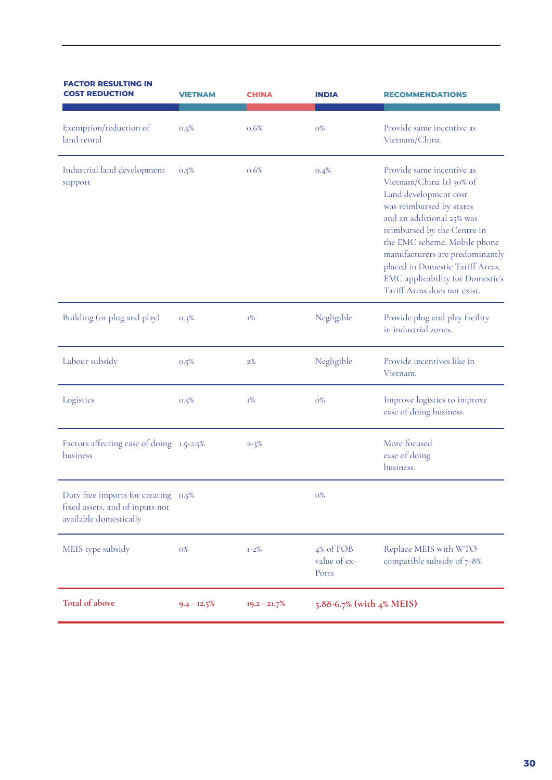| <b>FACTOR RESULTING IN</b><br><b>COST REDUCTION</b>                                              | VIETNAM        | CHINA          | <b>INDIA</b>                       | <b>RECOMMENDATIONS</b>                                                                                                                                                                                                                                                                                                                                   |
|--------------------------------------------------------------------------------------------------|----------------|----------------|------------------------------------|----------------------------------------------------------------------------------------------------------------------------------------------------------------------------------------------------------------------------------------------------------------------------------------------------------------------------------------------------------|
| Exemption/reduction of<br>land rental                                                            | 0.5%           | 0.6%           | $O\%$                              | Provide same incentive as<br>Vietnam/China.                                                                                                                                                                                                                                                                                                              |
| Industrial land development<br>support                                                           | 0.5%           | 0.6%           | 0.4%                               | Provide same incentive as<br>Vietnam/China (1) 50% of<br>Land development cost<br>was reimbursed by states<br>and an additional 25% was<br>reimbursed by the Centre in<br>the EMC scheme. Mobile phone<br>manufacturers are predominantly<br>placed in Domestic Tariff Areas,<br><b>EMC</b> applicability for Domestic's<br>Tariff Areas does not exist. |
| Building (or plug and play)                                                                      | 0.3%           | I%             | Negligible                         | Provide plug and play facility<br>in industrial zones.                                                                                                                                                                                                                                                                                                   |
| Labour subsidy                                                                                   | 0.5%           | 2%             | Negligible                         | Provide incentives like in<br>Vietnam.                                                                                                                                                                                                                                                                                                                   |
| Logistics                                                                                        | 0.5%           | I%             | $O\%$                              | Improve logistics to improve<br>ease of doing business.                                                                                                                                                                                                                                                                                                  |
| Factors affecting ease of doing 1.5-2.5%<br>business                                             |                | $2 - 3\%$      |                                    | More focused<br>ease of doing<br>business.                                                                                                                                                                                                                                                                                                               |
| Duty free imports for creating 0.5%<br>fixed assets, and of inputs not<br>available domestically |                |                | $0\%$                              |                                                                                                                                                                                                                                                                                                                                                          |
| MEIS type subsidy                                                                                | O%             | $I - 2\%$      | 4% of FOB<br>value of ex-<br>Ports | Replace MEIS with WTO<br>compatible subsidy of 7-8%                                                                                                                                                                                                                                                                                                      |
| Total of above                                                                                   | $9.4 - 12.5\%$ | $19.2 - 21.7%$ | 5.88-6.7% (with 4% MEIS)           |                                                                                                                                                                                                                                                                                                                                                          |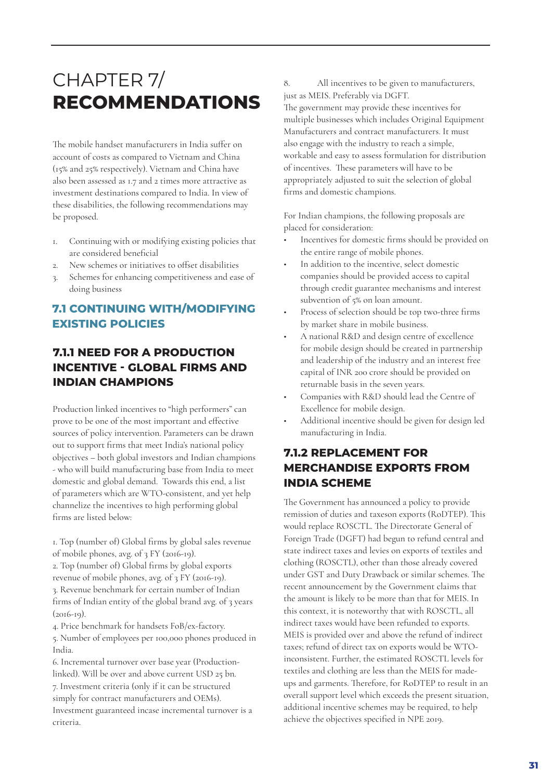# CHAPTER 7/ **RECOMMENDATIONS**

The mobile handset manufacturers in India suffer on account of costs as compared to Vietnam and China (15% and 25% respectively). Vietnam and China have also been assessed as 1.7 and 2 times more attractive as investment destinations compared to India. In view of these disabilities, the following recommendations may be proposed.

- 1. Continuing with or modifying existing policies that are considered beneficial
- 2. New schemes or initiatives to offset disabilities
- Schemes for enhancing competitiveness and ease of doing business

# **7.1 CONTINUING WITH/MODIFYING EXISTING POLICIES**

# **7.1.1 NEED FOR A PRODUCTION INCENTIVE - GLOBAL FIRMS AND INDIAN CHAMPIONS**

Production linked incentives to "high performers" can prove to be one of the most important and effective sources of policy intervention. Parameters can be drawn out to support firms that meet India's national policy objectives – both global investors and Indian champions - who will build manufacturing base from India to meet domestic and global demand. Towards this end, a list of parameters which are WTO-consistent, and yet help channelize the incentives to high performing global firms are listed below:

1. Top (number of) Global firms by global sales revenue of mobile phones, avg. of 3 FY (2016-19).

2. Top (number of) Global firms by global exports revenue of mobile phones, avg. of 3 FY (2016-19). 3. Revenue benchmark for certain number of Indian

firms of Indian entity of the global brand avg. of 3 years  $(2016-19)$ .

4. Price benchmark for handsets FoB/ex-factory.

5. Number of employees per 100,000 phones produced in India.

6. Incremental turnover over base year (Productionlinked). Will be over and above current USD 25 bn. 7. Investment criteria (only if it can be structured simply for contract manufacturers and OEMs). Investment guaranteed incase incremental turnover is a criteria.

8. All incentives to be given to manufacturers, just as MEIS. Preferably via DGFT. The government may provide these incentives for multiple businesses which includes Original Equipment Manufacturers and contract manufacturers. It must also engage with the industry to reach a simple, workable and easy to assess formulation for distribution of incentives. These parameters will have to be appropriately adjusted to suit the selection of global firms and domestic champions.

For Indian champions, the following proposals are placed for consideration:

- Incentives for domestic firms should be provided on the entire range of mobile phones.
- In addition to the incentive, select domestic companies should be provided access to capital through credit guarantee mechanisms and interest subvention of 5% on loan amount.
- Process of selection should be top two-three firms by market share in mobile business.
- A national R&D and design centre of excellence for mobile design should be created in partnership and leadership of the industry and an interest free capital of INR 200 crore should be provided on returnable basis in the seven years.
- Companies with R&D should lead the Centre of Excellence for mobile design.
- Additional incentive should be given for design led manufacturing in India.

# **7.1.2 REPLACEMENT FOR MERCHANDISE EXPORTS FROM INDIA SCHEME**

The Government has announced a policy to provide remission of duties and taxeson exports (RoDTEP). This would replace ROSCTL. The Directorate General of Foreign Trade (DGFT) had begun to refund central and state indirect taxes and levies on exports of textiles and clothing (ROSCTL), other than those already covered under GST and Duty Drawback or similar schemes. The recent announcement by the Government claims that the amount is likely to be more than that for MEIS. In this context, it is noteworthy that with ROSCTL, all indirect taxes would have been refunded to exports. MEIS is provided over and above the refund of indirect taxes; refund of direct tax on exports would be WTOinconsistent. Further, the estimated ROSCTL levels for textiles and clothing are less than the MEIS for madeups and garments. Therefore, for RoDTEP to result in an overall support level which exceeds the present situation, additional incentive schemes may be required, to help achieve the objectives specified in NPE 2019.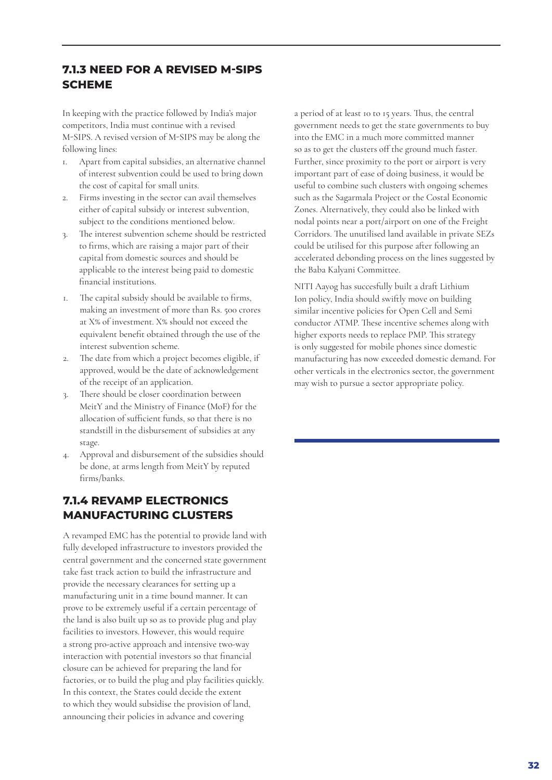# **7.1.3 NEED FOR A REVISED M-SIPS SCHEME**

In keeping with the practice followed by India's major competitors, India must continue with a revised M-SIPS. A revised version of M-SIPS may be along the following lines:

- 1. Apart from capital subsidies, an alternative channel of interest subvention could be used to bring down the cost of capital for small units.
- 2. Firms investing in the sector can avail themselves either of capital subsidy or interest subvention, subject to the conditions mentioned below.
- 3. The interest subvention scheme should be restricted to firms, which are raising a major part of their capital from domestic sources and should be applicable to the interest being paid to domestic financial institutions.
- 1. The capital subsidy should be available to firms, making an investment of more than Rs. 500 crores at X% of investment. X% should not exceed the equivalent benefit obtained through the use of the interest subvention scheme.
- 2. The date from which a project becomes eligible, if approved, would be the date of acknowledgement of the receipt of an application.
- 3. There should be closer coordination between MeitY and the Ministry of Finance (MoF) for the allocation of sufficient funds, so that there is no standstill in the disbursement of subsidies at any stage.
- 4. Approval and disbursement of the subsidies should be done, at arms length from MeitY by reputed firms/banks.

### **7.1.4 REVAMP ELECTRONICS MANUFACTURING CLUSTERS**

A revamped EMC has the potential to provide land with fully developed infrastructure to investors provided the central government and the concerned state government take fast track action to build the infrastructure and provide the necessary clearances for setting up a manufacturing unit in a time bound manner. It can prove to be extremely useful if a certain percentage of the land is also built up so as to provide plug and play facilities to investors. However, this would require a strong pro-active approach and intensive two-way interaction with potential investors so that financial closure can be achieved for preparing the land for factories, or to build the plug and play facilities quickly. In this context, the States could decide the extent to which they would subsidise the provision of land, announcing their policies in advance and covering

a period of at least 10 to 15 years. Thus, the central government needs to get the state governments to buy into the EMC in a much more committed manner so as to get the clusters off the ground much faster. Further, since proximity to the port or airport is very important part of ease of doing business, it would be useful to combine such clusters with ongoing schemes such as the Sagarmala Project or the Costal Economic Zones. Alternatively, they could also be linked with nodal points near a port/airport on one of the Freight Corridors. The unutilised land available in private SEZs could be utilised for this purpose after following an accelerated debonding process on the lines suggested by the Baba Kalyani Committee.

NITI Aayog has succesfully built a draft Lithium Ion policy, India should swiftly move on building similar incentive policies for Open Cell and Semi conductor ATMP. These incentive schemes along with higher exports needs to replace PMP. This strategy is only suggested for mobile phones since domestic manufacturing has now exceeded domestic demand. For other verticals in the electronics sector, the government may wish to pursue a sector appropriate policy.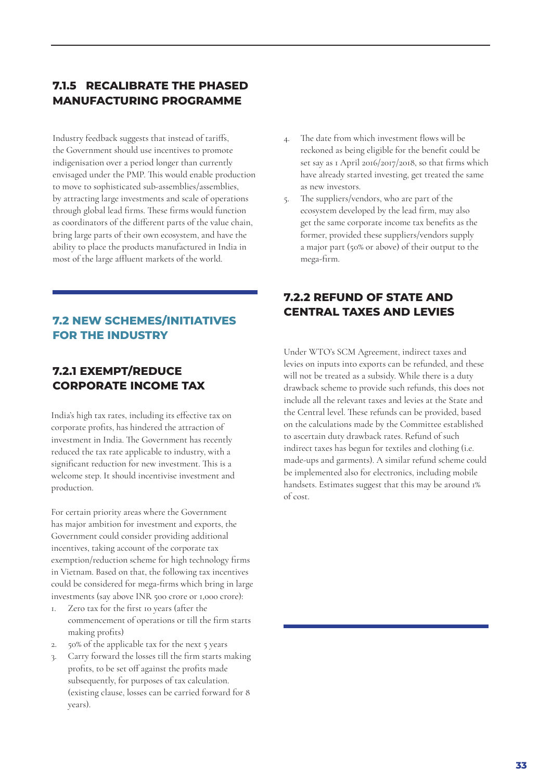# **7.1.5 RECALIBRATE THE PHASED MANUFACTURING PROGRAMME**

Industry feedback suggests that instead of tariffs, the Government should use incentives to promote indigenisation over a period longer than currently envisaged under the PMP. This would enable production to move to sophisticated sub-assemblies/assemblies, by attracting large investments and scale of operations through global lead firms. These firms would function as coordinators of the different parts of the value chain, bring large parts of their own ecosystem, and have the ability to place the products manufactured in India in most of the large affluent markets of the world.

# **FOR THE INDUSTRY**

# **7.2.1 EXEMPT/REDUCE CORPORATE INCOME TAX**

India's high tax rates, including its effective tax on corporate profits, has hindered the attraction of investment in India. The Government has recently reduced the tax rate applicable to industry, with a significant reduction for new investment. This is a welcome step. It should incentivise investment and production.

For certain priority areas where the Government has major ambition for investment and exports, the Government could consider providing additional incentives, taking account of the corporate tax exemption/reduction scheme for high technology firms in Vietnam. Based on that, the following tax incentives could be considered for mega-firms which bring in large investments (say above INR 500 crore or 1,000 crore):

- 1. Zero tax for the first 10 years (after the commencement of operations or till the firm starts making profits)
- 2. 50% of the applicable tax for the next 5 years
- 3. Carry forward the losses till the firm starts making profits, to be set off against the profits made subsequently, for purposes of tax calculation. (existing clause, losses can be carried forward for 8 years).
- 4. The date from which investment flows will be reckoned as being eligible for the benefit could be set say as 1 April 2016/2017/2018, so that firms which have already started investing, get treated the same as new investors.
- 5. The suppliers/vendors, who are part of the ecosystem developed by the lead firm, may also get the same corporate income tax benefits as the former, provided these suppliers/vendors supply a major part (50% or above) of their output to the mega-firm.

# **7.2.2 REFUND OF STATE AND CENTRAL TAXES AND LEVIES 7.2 NEW SCHEMES/INITIATIVES**

Under WTO's SCM Agreement, indirect taxes and levies on inputs into exports can be refunded, and these will not be treated as a subsidy. While there is a duty drawback scheme to provide such refunds, this does not include all the relevant taxes and levies at the State and the Central level. These refunds can be provided, based on the calculations made by the Committee established to ascertain duty drawback rates. Refund of such indirect taxes has begun for textiles and clothing (i.e. made-ups and garments). A similar refund scheme could be implemented also for electronics, including mobile handsets. Estimates suggest that this may be around 1% of cost.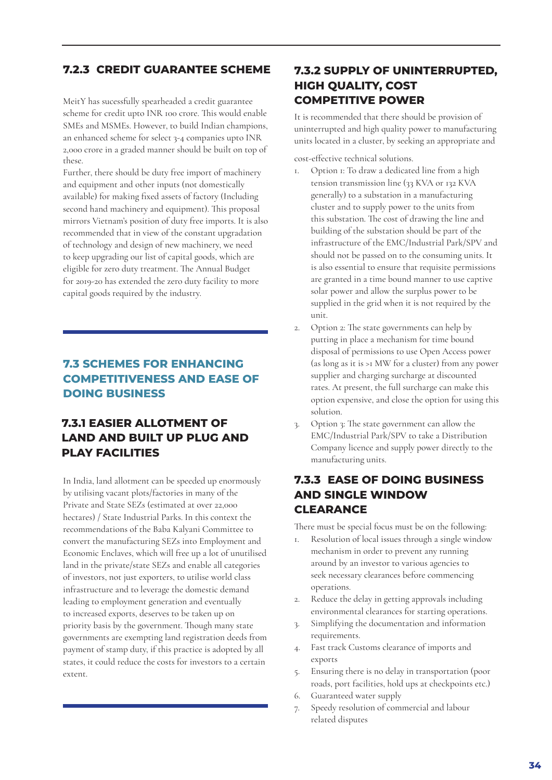### **7.2.3 CREDIT GUARANTEE SCHEME**

these. MeitY has sucessfully spearheaded a credit guarantee scheme for credit upto INR 100 crore. This would enable SMEs and MSMEs. However, to build Indian champions, an enhanced scheme for select 3-4 companies upto INR 2,000 crore in a graded manner should be built on top of

Further, there should be duty free import of machinery and equipment and other inputs (not domestically available) for making fixed assets of factory (Including second hand machinery and equipment). This proposal mirrors Vietnam's position of duty free imports. It is also recommended that in view of the constant upgradation of technology and design of new machinery, we need to keep upgrading our list of capital goods, which are eligible for zero duty treatment. The Annual Budget for 2019-20 has extended the zero duty facility to more capital goods required by the industry.

# **7.3 SCHEMES FOR ENHANCING COMPETITIVENESS AND EASE OF DOING BUSINESS**

# **7.3.1 EASIER ALLOTMENT OF LAND AND BUILT UP PLUG AND PLAY FACILITIES**

In India, land allotment can be speeded up enormously by utilising vacant plots/factories in many of the Private and State SEZs (estimated at over 22,000 hectares) / State Industrial Parks. In this context the recommendations of the Baba Kalyani Committee to convert the manufacturing SEZs into Employment and Economic Enclaves, which will free up a lot of unutilised land in the private/state SEZs and enable all categories of investors, not just exporters, to utilise world class infrastructure and to leverage the domestic demand leading to employment generation and eventually to increased exports, deserves to be taken up on priority basis by the government. Though many state governments are exempting land registration deeds from payment of stamp duty, if this practice is adopted by all states, it could reduce the costs for investors to a certain extent.

# **7.3.2 SUPPLY OF UNINTERRUPTED, HIGH QUALITY, COST COMPETITIVE POWER**

It is recommended that there should be provision of uninterrupted and high quality power to manufacturing units located in a cluster, by seeking an appropriate and

cost-effective technical solutions.

- 1. Option 1: To draw a dedicated line from a high tension transmission line (33 KVA or 132 KVA generally) to a substation in a manufacturing cluster and to supply power to the units from this substation. The cost of drawing the line and building of the substation should be part of the infrastructure of the EMC/Industrial Park/SPV and should not be passed on to the consuming units. It is also essential to ensure that requisite permissions are granted in a time bound manner to use captive solar power and allow the surplus power to be supplied in the grid when it is not required by the unit.
- 2. Option 2: The state governments can help by putting in place a mechanism for time bound disposal of permissions to use Open Access power (as long as it is >1 MW for a cluster) from any power supplier and charging surcharge at discounted rates. At present, the full surcharge can make this option expensive, and close the option for using this solution.
- 3. Option 3: The state government can allow the EMC/Industrial Park/SPV to take a Distribution Company licence and supply power directly to the manufacturing units.

# **7.3.3 EASE OF DOING BUSINESS AND SINGLE WINDOW CLEARANCE**

There must be special focus must be on the following:

- 1. Resolution of local issues through a single window mechanism in order to prevent any running around by an investor to various agencies to seek necessary clearances before commencing operations.
- 2. Reduce the delay in getting approvals including environmental clearances for starting operations.
- 3. Simplifying the documentation and information requirements.
- 4. Fast track Customs clearance of imports and exports
- 5. Ensuring there is no delay in transportation (poor roads, port facilities, hold ups at checkpoints etc.)
- 6. Guaranteed water supply
- 7. Speedy resolution of commercial and labour related disputes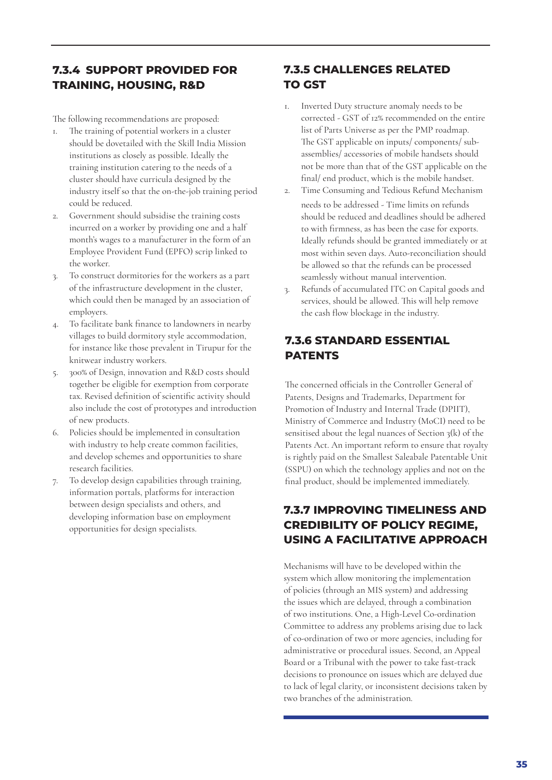# **7.3.4 SUPPORT PROVIDED FOR TRAINING, HOUSING, R&D**

The following recommendations are proposed:

- 1. The training of potential workers in a cluster should be dovetailed with the Skill India Mission institutions as closely as possible. Ideally the training institution catering to the needs of a cluster should have curricula designed by the industry itself so that the on-the-job training period could be reduced.
- 2. Government should subsidise the training costs incurred on a worker by providing one and a half month's wages to a manufacturer in the form of an Employee Provident Fund (EPFO) scrip linked to the worker.
- 3. To construct dormitories for the workers as a part of the infrastructure development in the cluster, which could then be managed by an association of employers.
- 4. To facilitate bank finance to landowners in nearby villages to build dormitory style accommodation, for instance like those prevalent in Tirupur for the knitwear industry workers.
- 5. 300% of Design, innovation and R&D costs should together be eligible for exemption from corporate tax. Revised definition of scientific activity should also include the cost of prototypes and introduction of new products.
- 6. Policies should be implemented in consultation with industry to help create common facilities, and develop schemes and opportunities to share research facilities.
- 7. To develop design capabilities through training, information portals, platforms for interaction between design specialists and others, and developing information base on employment opportunities for design specialists.

# **7.3.5 CHALLENGES RELATED TO GST**

- 1. Inverted Duty structure anomaly needs to be corrected - GST of 12% recommended on the entire list of Parts Universe as per the PMP roadmap. The GST applicable on inputs/ components/ subassemblies/ accessories of mobile handsets should not be more than that of the GST applicable on the final/ end product, which is the mobile handset.
- 2. Time Consuming and Tedious Refund Mechanism needs to be addressed - Time limits on refunds should be reduced and deadlines should be adhered to with firmness, as has been the case for exports. Ideally refunds should be granted immediately or at most within seven days. Auto-reconciliation should be allowed so that the refunds can be processed seamlessly without manual intervention.
- 3. Refunds of accumulated ITC on Capital goods and services, should be allowed. This will help remove the cash flow blockage in the industry.

# **7.3.6 STANDARD ESSENTIAL PATENTS**

The concerned officials in the Controller General of Patents, Designs and Trademarks, Department for Promotion of Industry and Internal Trade (DPIIT), Ministry of Commerce and Industry (MoCI) need to be sensitised about the legal nuances of Section 3(k) of the Patents Act. An important reform to ensure that royalty is rightly paid on the Smallest Saleabale Patentable Unit (SSPU) on which the technology applies and not on the final product, should be implemented immediately.

# **7.3.7 IMPROVING TIMELINESS AND CREDIBILITY OF POLICY REGIME, USING A FACILITATIVE APPROACH**

Mechanisms will have to be developed within the system which allow monitoring the implementation of policies (through an MIS system) and addressing the issues which are delayed, through a combination of two institutions. One, a High-Level Co-ordination Committee to address any problems arising due to lack of co-ordination of two or more agencies, including for administrative or procedural issues. Second, an Appeal Board or a Tribunal with the power to take fast-track decisions to pronounce on issues which are delayed due to lack of legal clarity, or inconsistent decisions taken by two branches of the administration.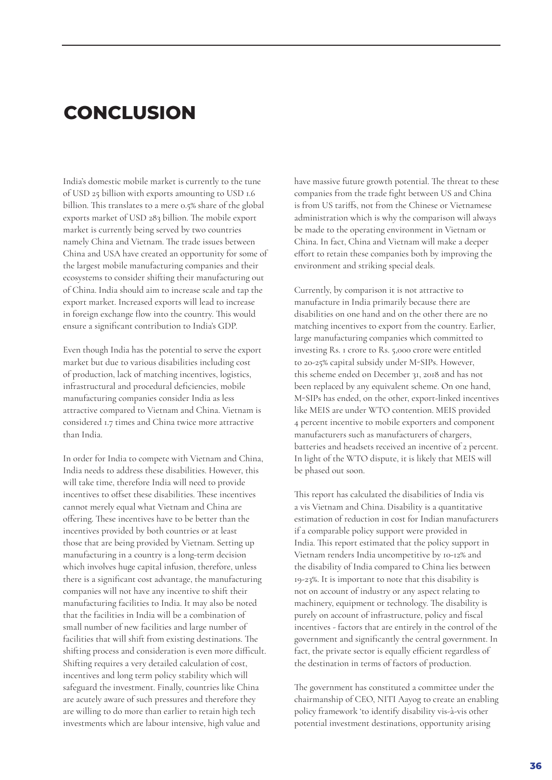# **CONCLUSION**

India's domestic mobile market is currently to the tune of USD 25 billion with exports amounting to USD 1.6 billion. This translates to a mere 0.5% share of the global exports market of USD 283 billion. The mobile export market is currently being served by two countries namely China and Vietnam. The trade issues between China and USA have created an opportunity for some of the largest mobile manufacturing companies and their ecosystems to consider shifting their manufacturing out of China. India should aim to increase scale and tap the export market. Increased exports will lead to increase in foreign exchange flow into the country. This would ensure a significant contribution to India's GDP.

Even though India has the potential to serve the export market but due to various disabilities including cost of production, lack of matching incentives, logistics, infrastructural and procedural deficiencies, mobile manufacturing companies consider India as less attractive compared to Vietnam and China. Vietnam is considered 1.7 times and China twice more attractive than India.

In order for India to compete with Vietnam and China, India needs to address these disabilities. However, this will take time, therefore India will need to provide incentives to offset these disabilities. These incentives cannot merely equal what Vietnam and China are offering. These incentives have to be better than the incentives provided by both countries or at least those that are being provided by Vietnam. Setting up manufacturing in a country is a long-term decision which involves huge capital infusion, therefore, unless there is a significant cost advantage, the manufacturing companies will not have any incentive to shift their manufacturing facilities to India. It may also be noted that the facilities in India will be a combination of small number of new facilities and large number of facilities that will shift from existing destinations. The shifting process and consideration is even more difficult. Shifting requires a very detailed calculation of cost, incentives and long term policy stability which will safeguard the investment. Finally, countries like China are acutely aware of such pressures and therefore they are willing to do more than earlier to retain high tech investments which are labour intensive, high value and

have massive future growth potential. The threat to these companies from the trade fight between US and China is from US tariffs, not from the Chinese or Vietnamese administration which is why the comparison will always be made to the operating environment in Vietnam or China. In fact, China and Vietnam will make a deeper effort to retain these companies both by improving the environment and striking special deals.

Currently, by comparison it is not attractive to manufacture in India primarily because there are disabilities on one hand and on the other there are no matching incentives to export from the country. Earlier, large manufacturing companies which committed to investing Rs. 1 crore to Rs. 5,000 crore were entitled to 20-25% capital subsidy under M-SIPs. However, this scheme ended on December 31, 2018 and has not been replaced by any equivalent scheme. On one hand, M-SIPs has ended, on the other, export-linked incentives like MEIS are under WTO contention. MEIS provided 4 percent incentive to mobile exporters and component manufacturers such as manufacturers of chargers, batteries and headsets received an incentive of 2 percent. In light of the WTO dispute, it is likely that MEIS will be phased out soon.

This report has calculated the disabilities of India vis a vis Vietnam and China. Disability is a quantitative estimation of reduction in cost for Indian manufacturers if a comparable policy support were provided in India. This report estimated that the policy support in Vietnam renders India uncompetitive by 10-12% and the disability of India compared to China lies between 19-23%. It is important to note that this disability is not on account of industry or any aspect relating to machinery, equipment or technology. The disability is purely on account of infrastructure, policy and fiscal incentives - factors that are entirely in the control of the government and significantly the central government. In fact, the private sector is equally efficient regardless of the destination in terms of factors of production.

The government has constituted a committee under the chairmanship of CEO, NITI Aayog to create an enabling policy framework 'to identify disability vis-à-vis other potential investment destinations, opportunity arising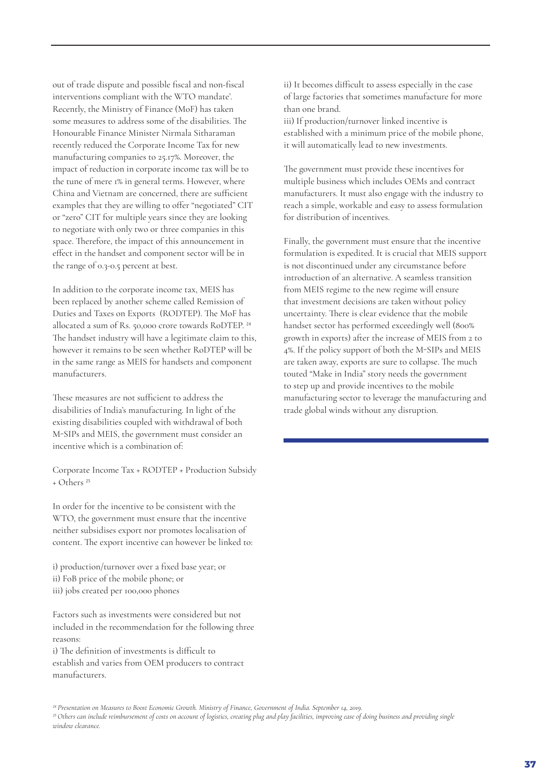out of trade dispute and possible fiscal and non-fiscal interventions compliant with the WTO mandate'. Recently, the Ministry of Finance (MoF) has taken some measures to address some of the disabilities. The Honourable Finance Minister Nirmala Sitharaman recently reduced the Corporate Income Tax for new manufacturing companies to 25.17%. Moreover, the impact of reduction in corporate income tax will be to the tune of mere 1% in general terms. However, where China and Vietnam are concerned, there are sufficient examples that they are willing to offer "negotiated" CIT or "zero" CIT for multiple years since they are looking to negotiate with only two or three companies in this space. Therefore, the impact of this announcement in effect in the handset and component sector will be in the range of 0.3-0.5 percent at best.

In addition to the corporate income tax, MEIS has been replaced by another scheme called Remission of Duties and Taxes on Exports (RODTEP). The MoF has allocated a sum of Rs. 50,000 crore towards RoDTEP. 24 The handset industry will have a legitimate claim to this, however it remains to be seen whether RoDTEP will be in the same range as MEIS for handsets and component manufacturers.

These measures are not sufficient to address the disabilities of India's manufacturing. In light of the existing disabilities coupled with withdrawal of both M-SIPs and MEIS, the government must consider an incentive which is a combination of:

Corporate Income Tax + RODTEP + Production Subsidy + Others 25

In order for the incentive to be consistent with the WTO, the government must ensure that the incentive neither subsidises export nor promotes localisation of content. The export incentive can however be linked to:

i) production/turnover over a fixed base year; or ii) FoB price of the mobile phone; or iii) jobs created per 100,000 phones

Factors such as investments were considered but not included in the recommendation for the following three reasons:

i) The definition of investments is difficult to establish and varies from OEM producers to contract manufacturers.

ii) It becomes difficult to assess especially in the case of large factories that sometimes manufacture for more than one brand.

iii) If production/turnover linked incentive is established with a minimum price of the mobile phone, it will automatically lead to new investments.

The government must provide these incentives for multiple business which includes OEMs and contract manufacturers. It must also engage with the industry to reach a simple, workable and easy to assess formulation for distribution of incentives.

Finally, the government must ensure that the incentive formulation is expedited. It is crucial that MEIS support is not discontinued under any circumstance before introduction of an alternative. A seamless transition from MEIS regime to the new regime will ensure that investment decisions are taken without policy uncertainty. There is clear evidence that the mobile handset sector has performed exceedingly well (800% growth in exports) after the increase of MEIS from 2 to 4%. If the policy support of both the M-SIPs and MEIS are taken away, exports are sure to collapse. The much touted "Make in India" story needs the government to step up and provide incentives to the mobile manufacturing sector to leverage the manufacturing and trade global winds without any disruption.

*24 Presentation on Measures to Boost Economic Growth. Ministry of Finance, Government of India. September 14, 2019. 25 Others can include reimbursement of costs on account of logistics, creating plug and play facilities, improving ease of doing business and providing single window clearance.*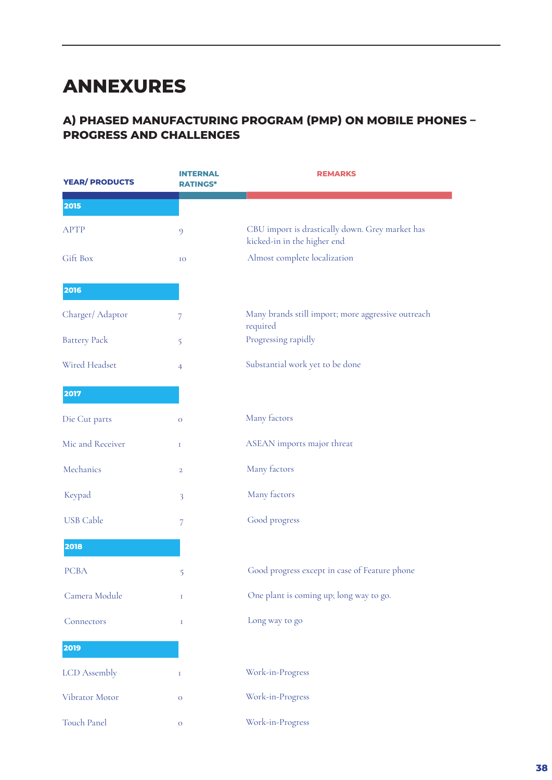# **ANNEXURES**

# **A) PHASED MANUFACTURING PROGRAM (PMP) ON MOBILE PHONES – PROGRESS AND CHALLENGES**

| <b>YEAR/ PRODUCTS</b> | <b>INTERNAL</b><br><b>RATINGS*</b> | <b>REMARKS</b>                                                                 |
|-----------------------|------------------------------------|--------------------------------------------------------------------------------|
| 2015                  |                                    |                                                                                |
| <b>APTP</b>           | 9                                  | CBU import is drastically down. Grey market has<br>kicked-in in the higher end |
| Gift Box              | IO                                 | Almost complete localization                                                   |
| 2016                  |                                    |                                                                                |
| Charger/Adaptor       | 7                                  | Many brands still import; more aggressive outreach<br>required                 |
| <b>Battery Pack</b>   | 5                                  | Progressing rapidly                                                            |
| Wired Headset         | $\overline{4}$                     | Substantial work yet to be done                                                |
| 2017                  |                                    |                                                                                |
| Die Cut parts         | $\mathbf O$                        | Many factors                                                                   |
| Mic and Receiver      | $\mathbf I$                        | ASEAN imports major threat                                                     |
| Mechanics             | $\overline{2}$                     | Many factors                                                                   |
| Keypad                | 3                                  | Many factors                                                                   |
| <b>USB</b> Cable      | 7                                  | Good progress                                                                  |
| 2018                  |                                    |                                                                                |
| <b>PCBA</b>           | 5                                  | Good progress except in case of Feature phone                                  |
| Camera Module         | $\mathbf I$                        | One plant is coming up; long way to go.                                        |
| Connectors            | $\mathbf I$                        | Long way to go                                                                 |
| 2019                  |                                    |                                                                                |
| <b>LCD</b> Assembly   | $\mathbf I$                        | Work-in-Progress                                                               |
| Vibrator Motor        | $\overline{O}$                     | Work-in-Progress                                                               |
| Touch Panel           | $\mathbf{O}$                       | Work-in-Progress                                                               |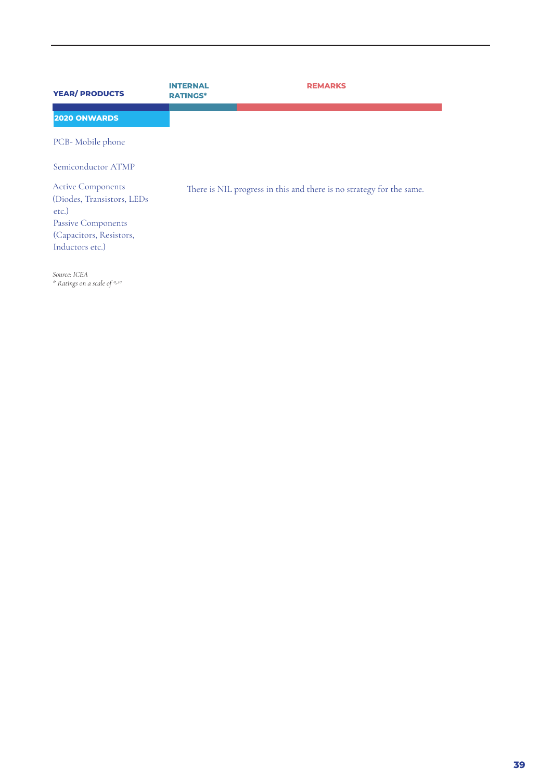| <b>YEAR/ PRODUCTS</b>                                                                                                               | TERNAL<br><b>RATINGS*</b> | <b>REMARKS</b>                                                       |
|-------------------------------------------------------------------------------------------------------------------------------------|---------------------------|----------------------------------------------------------------------|
| <b>2020 ONWARDS</b>                                                                                                                 |                           |                                                                      |
| PCB-Mobile phone                                                                                                                    |                           |                                                                      |
| Semiconductor ATMP                                                                                                                  |                           |                                                                      |
| <b>Active Components</b><br>(Diodes, Transistors, LEDs<br>etc.)<br>Passive Components<br>(Capacitors, Resistors,<br>Inductors etc.) |                           | There is NIL progress in this and there is no strategy for the same. |
|                                                                                                                                     |                           |                                                                      |

*Source: ICEA \* Ratings on a scale of 0-10*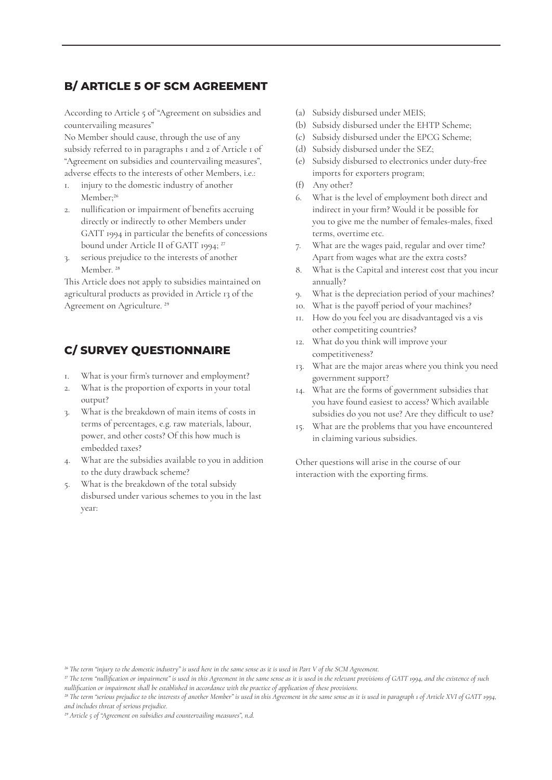# **B/ ARTICLE 5 OF SCM AGREEMENT**

According to Article 5 of "Agreement on subsidies and countervailing measures"

No Member should cause, through the use of any subsidy referred to in paragraphs 1 and 2 of Article 1 of "Agreement on subsidies and countervailing measures", adverse effects to the interests of other Members, i.e.:

- 1. injury to the domestic industry of another Member;<sup>26</sup>
- 2. nullification or impairment of benefits accruing directly or indirectly to other Members under GATT 1994 in particular the benefits of concessions bound under Article II of GATT 1994; 27
- 3. serious prejudice to the interests of another Member.<sup>28</sup>

This Article does not apply to subsidies maintained on agricultural products as provided in Article 13 of the Agreement on Agriculture. 29

# **C/ SURVEY QUESTIONNAIRE**

- 1. What is your firm's turnover and employment?
- 2. What is the proportion of exports in your total output?
- 3. What is the breakdown of main items of costs in terms of percentages, e.g. raw materials, labour, power, and other costs? Of this how much is embedded taxes?
- 4. What are the subsidies available to you in addition to the duty drawback scheme?
- 5. What is the breakdown of the total subsidy disbursed under various schemes to you in the last year:
- (a) Subsidy disbursed under MEIS;
- (b) Subsidy disbursed under the EHTP Scheme;
- (c) Subsidy disbursed under the EPCG Scheme;
- (d) Subsidy disbursed under the SEZ;
- (e) Subsidy disbursed to electronics under duty-free imports for exporters program;
- (f) Any other?
- 6. What is the level of employment both direct and indirect in your firm? Would it be possible for you to give me the number of females-males, fixed terms, overtime etc.
- 7. What are the wages paid, regular and over time? Apart from wages what are the extra costs?
- 8. What is the Capital and interest cost that you incur annually?
- 9. What is the depreciation period of your machines?
- 10. What is the payoff period of your machines?
- 11. How do you feel you are disadvantaged vis a vis other competiting countries?
- 12. What do you think will improve your competitiveness?
- 13. What are the major areas where you think you need government support?
- 14. What are the forms of government subsidies that you have found easiest to access? Which available subsidies do you not use? Are they difficult to use?
- 15. What are the problems that you have encountered in claiming various subsidies.

Other questions will arise in the course of our interaction with the exporting firms.

*<sup>26</sup> The term "injury to the domestic industry" is used here in the same sense as it is used in Part V of the SCM Agreement.*

*<sup>27</sup> The term "nullification or impairment" is used in this Agreement in the same sense as it is used in the relevant provisions of GATT 1994, and the existence of such nullification or impairment shall be established in accordance with the practice of application of these provisions.*

*<sup>28</sup> The term "serious prejudice to the interests of another Member" is used in this Agreement in the same sense as it is used in paragraph 1 of Article XVI of GATT 1994, and includes threat of serious prejudice.*

*<sup>29</sup> Article 5 of "Agreement on subsidies and countervailing measures", n.d.*